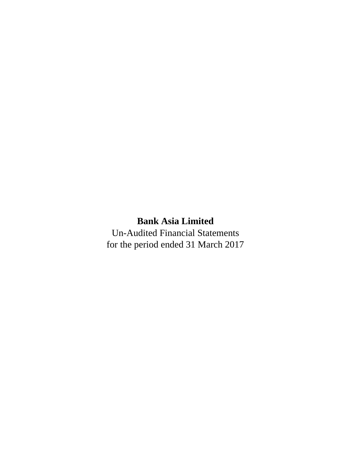Un-Audited Financial Statements for the period ended 31 March 2017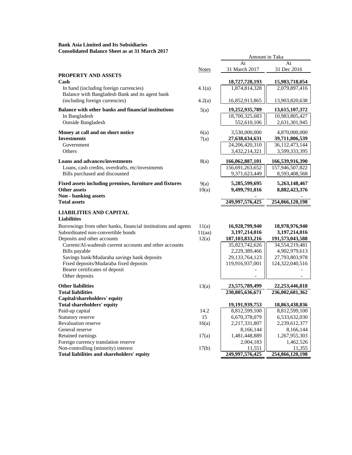# **Consolidated Balance Sheet as at 31 March 2017 Bank Asia Limited and Its Subsidiaries**

|                                                                         |              | Amount in Taka     |                   |
|-------------------------------------------------------------------------|--------------|--------------------|-------------------|
|                                                                         |              | At                 | At                |
|                                                                         | <b>Notes</b> | 31 March 2017      | 31 Dec 2016       |
| PROPERTY AND ASSETS                                                     |              |                    |                   |
| Cash                                                                    |              | 18,727,728,193     | 15,983,718,054    |
| In hand (including foreign currencies)                                  | 4.1(a)       | 1,874,814,328      | 2,079,897,416     |
| Balance with Bangladesh Bank and its agent bank                         |              |                    |                   |
| (including foreign currencies)                                          | 4.2(a)       | 16,852,913,865     | 13,903,820,638    |
| Balance with other banks and financial institutions                     | 5(a)         | 19,252,935,789     | 13,615,107,372    |
| In Bangladesh                                                           |              | 18,700,325,683     | 10,983,805,427    |
| <b>Outside Bangladesh</b>                                               |              | 552,610,106        | 2,631,301,945     |
|                                                                         |              |                    |                   |
| Money at call and on short notice                                       | 6(a)         | 3,530,000,000      | 4,870,000,000     |
| <b>Investments</b>                                                      | 7(a)         | 27,638,634,631     | 39,711,806,539    |
| Government                                                              |              | 24, 206, 420, 310  | 36,112,473,144    |
| Others                                                                  |              | 3,432,214,321      | 3,599,333,395     |
| <b>Loans and advances/investments</b>                                   | 8(a)         | 166,062,887,101    | 166,539,916,390   |
| Loans, cash credits, overdrafts, etc/investments                        |              | 156,691,263,652    | 157,946,507,822   |
| Bills purchased and discounted                                          |              | 9,371,623,449      | 8,593,408,568     |
|                                                                         |              |                    |                   |
| Fixed assets including premises, furniture and fixtures<br>Other assets | 9(a)         | 5,285,599,695      | 5, 263, 148, 467  |
| Non - banking assets                                                    | 10(a)        | 9,499,791,016      | 8,882,423,376     |
| <b>Total assets</b>                                                     |              | 249,997,576,425    | 254,866,120,198   |
|                                                                         |              |                    |                   |
| <b>LIABILITIES AND CAPITAL</b>                                          |              |                    |                   |
| <b>Liabilities</b>                                                      |              |                    |                   |
| Borrowings from other banks, financial institutions and agents          | 11(a)        | 16,928,799,940     | 18,978,976,940    |
| Subordinated non-convertible bonds                                      | 11(aa)       | 3,197,214,016      | 3,197,214,016     |
| Deposits and other accounts                                             | 12(a)        | 187, 103, 833, 216 | 191,573,043,588   |
| Current/Al-wadeeah current accounts and other accounts                  |              | 35,823,742,626     | 34,554,219,481    |
| Bills payable                                                           |              | 2,229,389,466      | 4,902,979,613     |
| Savings bank/Mudaraba savings bank deposits                             |              | 29, 133, 764, 123  | 27,793,803,978    |
| Fixed deposits/Mudaraba fixed deposits                                  |              | 119,916,937,001    | 124,322,040,516   |
| Bearer certificates of deposit                                          |              |                    |                   |
| Other deposits                                                          |              |                    |                   |
| <b>Other liabilities</b>                                                | 13(a)        | 23,575,789,499     | 22, 253, 446, 818 |
| <b>Total liabilities</b>                                                |              | 230,805,636,671    | 236,002,681,362   |
| Capital/shareholders' equity                                            |              |                    |                   |
| <b>Total shareholders' equity</b>                                       |              | 19, 191, 939, 753  | 18,863,438,836    |
| Paid-up capital                                                         | 14.2         | 8,812,599,100      | 8,812,599,100     |
| Statutory reserve                                                       | 15           | 6,670,378,079      | 6,533,632,030     |
| Revaluation reserve                                                     | 16(a)        | 2,217,331,807      | 2,239,612,377     |
| General reserve                                                         |              | 8,166,144          | 8,166,144         |
| Retained earnings                                                       | 17(a)        | 1,481,448,889      | 1,267,955,303     |
| Foreign currency translation reserve                                    |              | 2,004,183          | 1,462,526         |
| Non-controlling (minority) interest                                     | 17(b)        | 11,551             | 11,355            |
| Total liabilities and shareholders' equity                              |              | 249,997,576,425    | 254,866,120,198   |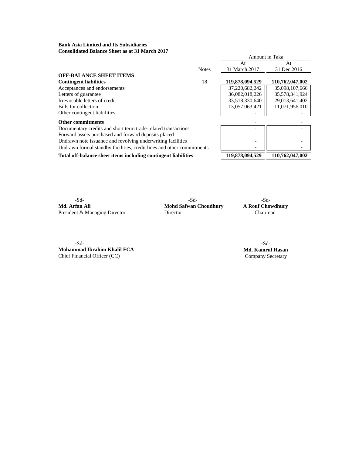# **Bank Asia Limited and Its Subsidiaries Consolidated Balance Sheet as at 31 March 2017**

| Consonuattu Dalantt ontiti as at 91 martii 2017                       |              |                 |                 |
|-----------------------------------------------------------------------|--------------|-----------------|-----------------|
|                                                                       |              | Amount in Taka  |                 |
|                                                                       |              | At              | At              |
|                                                                       | <b>Notes</b> | 31 March 2017   | 31 Dec 2016     |
| <b>OFF-BALANCE SHEET ITEMS</b>                                        |              |                 |                 |
| <b>Contingent liabilities</b>                                         | 18           | 119,878,094,529 | 110,762,047,002 |
| Acceptances and endorsements                                          |              | 37,220,682,242  | 35,098,107,666  |
| Letters of guarantee                                                  |              | 36,082,018,226  | 35,578,341,924  |
| Irrevocable letters of credit                                         |              | 33,518,330,640  | 29,013,641,402  |
| Bills for collection                                                  |              | 13,057,063,421  | 11,071,956,010  |
| Other contingent liabilities                                          |              |                 |                 |
| Other commitments                                                     |              |                 |                 |
| Documentary credits and short term trade-related transactions         |              |                 |                 |
| Forward assets purchased and forward deposits placed                  |              |                 |                 |
| Undrawn note issuance and revolving underwriting facilities           |              |                 |                 |
| Undrawn formal standby facilities, credit lines and other commitments |              |                 |                 |
| Total off-balance sheet items including contingent liabilities        |              | 119,878,094,529 | 110,762,047,002 |

**Md. Arfan Ali Mohd Safwan Choudhury A Rouf Chowdhury**<br>President & Managing Director **Chairman** President & Managing Director

-Sd- -Sd- -Sd-

-Sd- -Sd-**Mohammad Ibrahim Khalil FCA Md. Kamrul Hasan** 

Chief Financial Officer (CC) Company Secretary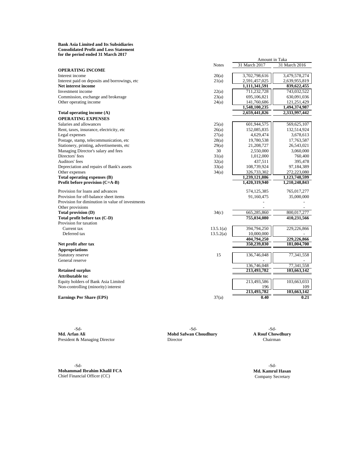#### **Bank Asia Limited and Its Subsidiaries Consolidated Profit and Loss Statement for the period ended 31 March 2017**

|                                                  |              | Amount in Taka |               |  |  |  |
|--------------------------------------------------|--------------|----------------|---------------|--|--|--|
|                                                  | <b>Notes</b> | 31 March 2017  | 31 March 2016 |  |  |  |
| <b>OPERATING INCOME</b>                          |              |                |               |  |  |  |
| Interest income                                  | 20(a)        | 3,702,798,616  | 3,479,578,274 |  |  |  |
| Interest paid on deposits and borrowings, etc    | 21(a)        | 2,591,457,025  | 2,639,955,819 |  |  |  |
| Net interest income                              |              | 1,111,341,591  | 839,622,455   |  |  |  |
| Investment income                                | 22(a)        | 711,232,728    | 743,032,522   |  |  |  |
| Commission, exchange and brokerage               | 23(a)        | 695,106,821    | 630,091,036   |  |  |  |
| Other operating income                           | 24(a)        | 141,760,686    | 121,251,429   |  |  |  |
|                                                  |              | 1,548,100,235  | 1,494,374,987 |  |  |  |
| Total operating income (A)                       |              | 2,659,441,826  | 2,333,997,442 |  |  |  |
| <b>OPERATING EXPENSES</b>                        |              |                |               |  |  |  |
| Salaries and allowances                          | 25(a)        | 601,944,575    | 569,625,107   |  |  |  |
| Rent, taxes, insurance, electricity, etc         | 26(a)        | 152,085,835    | 132,514,924   |  |  |  |
| Legal expenses                                   | 27(a)        | 4,629,474      | 3,678,613     |  |  |  |
| Postage, stamp, telecommunication, etc           | 28(a)        | 19,780,538     | 17,763,587    |  |  |  |
| Stationery, printing, advertisements, etc        | 29(a)        | 21,208,727     | 26,543,021    |  |  |  |
| Managing Director's salary and fees              | 30           | 2,550,000      | 3,060,000     |  |  |  |
| Directors' fees                                  | 31(a)        | 1,012,000      | 760,400       |  |  |  |
| Auditors' fees                                   | 32(a)        | 437,511        | 395,478       |  |  |  |
| Depreciation and repairs of Bank's assets        | 33(a)        | 108,739,924    | 97,184,389    |  |  |  |
| Other expenses                                   | 34(a)        | 326,733,302    | 272,223,080   |  |  |  |
| Total operating expenses (B)                     |              | 1,239,121,886  | 1,123,748,599 |  |  |  |
| Profit before provision (C=A-B)                  |              | 1,420,319,940  | 1,210,248,843 |  |  |  |
| Provision for loans and advances                 |              | 574,125,385    | 765,017,277   |  |  |  |
| Provision for off-balance sheet items            |              | 91,160,475     | 35,000,000    |  |  |  |
| Provision for diminution in value of investments |              |                |               |  |  |  |
| Other provisions                                 |              |                |               |  |  |  |
| Total provision (D)                              | 34(c)        | 665,285,860    | 800,017,277   |  |  |  |
| Total profit before tax (C-D)                    |              | 755,034,080    | 410,231,566   |  |  |  |
| Provision for taxation                           |              |                |               |  |  |  |
| Current tax                                      | 13.5.1(a)    | 394,794,250    | 229,226,866   |  |  |  |
| Deferred tax                                     | 13.5.2(a)    | 10,000,000     |               |  |  |  |
|                                                  |              | 404,794,250    | 229,226,866   |  |  |  |
| Net profit after tax                             |              | 350,239,830    | 181,004,700   |  |  |  |
| <b>Appropriations</b>                            |              |                |               |  |  |  |
| Statutory reserve                                | 15           | 136,746,048    | 77,341,558    |  |  |  |
| General reserve                                  |              |                |               |  |  |  |
|                                                  |              | 136,746,048    | 77,341,558    |  |  |  |
| <b>Retained surplus</b>                          |              | 213,493,782    | 103,663,142   |  |  |  |
| Attributable to:                                 |              |                |               |  |  |  |
| Equity holders of Bank Asia Limited              |              | 213,493,586    | 103,663,033   |  |  |  |
| Non-controlling (minority) interest              |              | 196            | 109           |  |  |  |
|                                                  |              | 213,493,782    | 103,663,142   |  |  |  |
| <b>Earnings Per Share (EPS)</b>                  | 37(a)        | 0.40           | 0.21          |  |  |  |

-Sd- -Sd- -Sd-President & Managing Director

**Mohd Safwan Choudhury A Rouf Chowd**<br>Director **Chairman** 

-Sd- -Sd-**Mohammad Ibrahim Khalil FCA Md. Kamrul Hasan** Chief Financial Officer (CC) **Company Secretary** Company Secretary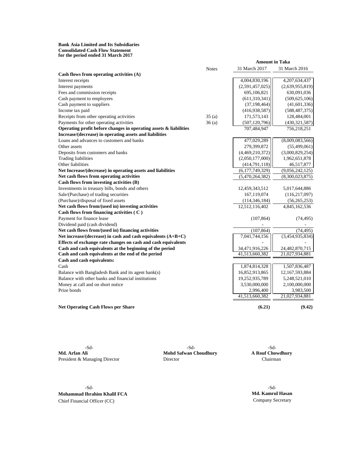**for the period ended 31 March 2017 Bank Asia Limited and Its Subsidiaries Consolidated Cash Flow Statement**

|                                                                   |              | <b>Amount in Taka</b> |                 |
|-------------------------------------------------------------------|--------------|-----------------------|-----------------|
|                                                                   | <b>Notes</b> | 31 March 2017         | 31 March 2016   |
| Cash flows from operating activities (A)                          |              |                       |                 |
| Interest receipts                                                 |              | 4,004,830,196         | 4,207,634,437   |
| Interest payments                                                 |              | (2,591,457,025)       | (2,639,955,819) |
| Fees and commission receipts                                      |              | 695,106,821           | 630,091,036     |
| Cash payment to employees                                         |              | (611, 310, 341)       | (509, 625, 106) |
| Cash payment to suppliers                                         |              | (37, 198, 464)        | (41, 601, 336)  |
| Income tax paid                                                   |              | (416,938,587)         | (588, 487, 375) |
| Receipts from other operating activities                          | 35(a)        | 171,573,143           | 128,484,001     |
| Payments for other operating activities                           | 36(a)        | (507, 120, 796)       | (430, 321, 587) |
| Operating profit before changes in operating assets & liabilities |              | 707,484,947           | 756,218,251     |
| Increase/(decrease) in operating assets and liabilities           |              |                       |                 |
| Loans and advances to customers and banks                         |              | 477,029,289           | (8,009,083,566) |
| Other assets                                                      |              | 279,399,872           | (55, 499, 061)  |
| Deposits from customers and banks                                 |              | (4,469,210,372)       | (3,000,829,254) |
| <b>Trading liabilities</b>                                        |              | (2,050,177,000)       | 1,962,651,878   |
| Other liabilities                                                 |              | (414,791,118)         | 46,517,877      |
| Net Increase/(decrease) in operating assets and liabilities       |              | (6,177,749,329)       | (9,056,242,125) |
| Net cash flows from operating activities                          |              | (5,470,264,382)       | (8,300,023,875) |
| Cash flows from investing activities (B)                          |              |                       |                 |
| Investments in treasury bills, bonds and others                   |              | 12,459,343,512        | 5,017,644,886   |
| Sale/(Purchase) of trading securities                             |              | 167,119,074           | (116, 217, 097) |
| (Purchase)/disposal of fixed assets                               |              | (114, 346, 184)       | (56, 265, 253)  |
| Net cash flows from/(used in) investing activities                |              | 12,512,116,402        | 4,845,162,536   |
| Cash flows from financing activities ( $\cal C$ )                 |              |                       |                 |
| Payment for finance lease                                         |              | (107, 864)            | (74, 495)       |
| Dividend paid (cash dividend)                                     |              |                       |                 |
| Net cash flows from/(used in) financing activities                |              | (107, 864)            | (74, 495)       |
| Net increase/(decrease) in cash and cash equivalents (A+B+C)      |              | 7,041,744,156         | (3,454,935,834) |
| Effects of exchange rate changes on cash and cash equivalents     |              |                       |                 |
| Cash and cash equivalents at the beginning of the period          |              | 34,471,916,226        | 24,482,870,715  |
| Cash and cash equivalents at the end of the period                |              | 41,513,660,382        | 21,027,934,881  |
| Cash and cash equivalents:                                        |              |                       |                 |
| Cash                                                              |              | 1,874,814,328         | 1,507,836,487   |
| Balance with Bangladesh Bank and its agent bank(s)                |              | 16,852,913,865        | 12,167,593,884  |
| Balance with other banks and financial institutions               |              | 19,252,935,789        | 5,248,521,010   |
| Money at call and on short notice                                 |              | 3,530,000,000         | 2,100,000,000   |
| Prize bonds                                                       |              | 2,996,400             | 3,983,500       |
|                                                                   |              | 41,513,660,382        | 21,027,934,881  |
|                                                                   |              |                       |                 |
| <b>Net Operating Cash Flows per Share</b>                         |              | (6.21)                | (9.42)          |
|                                                                   |              |                       |                 |

**Md. Arfan Ali Mohd Safwan Choudhury Mohd Safwan Choudhury** President & Managing Director **Director** Director **Chairman** 

-Sd-<br>
-Sd-<br>
Mohd Safwan Choudhury<br>
A Rouf Chowdhury

-Sd- -Sd-**Mohammad Ibrahim Khalil FCA Md. Kamrul Hasan** Chief Financial Officer (CC) Company Secretary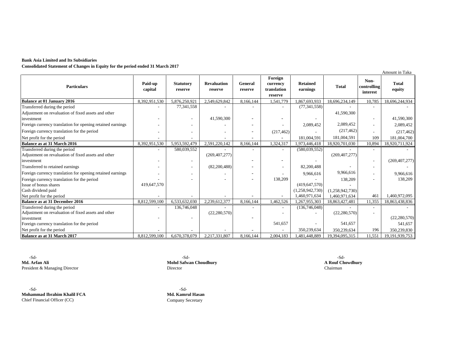### **Bank Asia Limited and Its Subsidiaries**

**Consolidated Statement of Changes in Equity for the period ended 31 March 2017**

|                                                            |                    |                             |                               |                    |                                               |                             |                 |                                 | Amount in Taka         |
|------------------------------------------------------------|--------------------|-----------------------------|-------------------------------|--------------------|-----------------------------------------------|-----------------------------|-----------------|---------------------------------|------------------------|
| <b>Particulars</b>                                         | Paid-up<br>capital | <b>Statutory</b><br>reserve | <b>Revaluation</b><br>reserve | General<br>reserve | Foreign<br>currency<br>translation<br>reserve | <b>Retained</b><br>earnings | <b>Total</b>    | Non-<br>controlling<br>interest | <b>Total</b><br>equity |
| <b>Balance at 01 January 2016</b>                          | 8,392,951,530      | 5,876,250,921               | 2,549,629,842                 | 8,166,144          | 1,541,779                                     | 1,867,693,933               | 18,696,234,149  | 10,785                          | 18,696,244,934         |
| Transferred during the period                              |                    | 77,341,558                  |                               |                    | $\overline{\phantom{a}}$                      | (77, 341, 558)              |                 |                                 |                        |
| Adjustment on revaluation of fixed assets and other        |                    |                             |                               |                    |                                               |                             | 41,590,300      |                                 |                        |
| investment                                                 |                    |                             | 41,590,300                    |                    |                                               |                             |                 |                                 | 41,590,300             |
| Foreign currency translation for opening retained earnings |                    |                             |                               |                    |                                               | 2,089,452                   | 2,089,452       |                                 | 2,089,452              |
| Foreign currency translation for the period                |                    |                             |                               |                    | (217, 462)                                    |                             | (217, 462)      |                                 | (217, 462)             |
| Net profit for the period                                  |                    |                             |                               |                    |                                               | 181,004,591                 | 181,004,591     | 109                             | 181,004,700            |
| Balance as at 31 March 2016                                | 8,392,951,530      | 5,953,592,479               | 2,591,220,142                 | 8,166,144          | 1,324,317                                     | 1,973,446,418               | 18,920,701,030  | 10,894                          | 18,920,711,924         |
| Transferred during the period                              |                    | 580,039,552                 |                               |                    | $\overline{\phantom{a}}$                      | (580,039,552)               |                 |                                 |                        |
| Adjustment on revaluation of fixed assets and other        |                    |                             | (269, 407, 277)               |                    |                                               |                             | (269, 407, 277) |                                 |                        |
| investment                                                 |                    |                             |                               |                    |                                               |                             |                 |                                 | (269, 407, 277)        |
| Transferred to retained earnings                           |                    | $\overline{\phantom{a}}$    | (82,200,488)                  |                    | $\overline{\phantom{a}}$                      | 82,200,488                  |                 |                                 |                        |
| Foreign currency translation for opening retained earnings |                    |                             |                               |                    |                                               | 9,966,616                   | 9,966,616       |                                 | 9,966,616              |
| Foreign currency translation for the period                |                    |                             |                               |                    | 138,209                                       |                             | 138,209         |                                 | 138,209                |
| Issue of bonus shares                                      | 419,647,570        |                             |                               |                    |                                               | (419, 647, 570)             |                 |                                 |                        |
| Cash dividend paid                                         |                    |                             |                               |                    |                                               | (1,258,942,730)             | (1,258,942,730) |                                 |                        |
| Net profit for the period                                  |                    |                             |                               |                    |                                               | 1,460,971,634               | 1,460,971,634   | 461                             | 1,460,972,095          |
| <b>Balance as at 31 December 2016</b>                      | 8,812,599,100      | 6,533,632,030               | 2,239,612,377                 | 8,166,144          | 1,462,526                                     | 1,267,955,303               | 18,863,427,481  | 11,355                          | 18,863,438,836         |
| Transferred during the period                              |                    | 136,746,048                 |                               |                    | $\overline{\phantom{a}}$                      | (136,746,048)               |                 |                                 |                        |
| Adjustment on revaluation of fixed assets and other        |                    |                             | (22, 280, 570)                |                    |                                               |                             | (22, 280, 570)  |                                 |                        |
| investment                                                 |                    |                             |                               |                    |                                               |                             |                 |                                 | (22, 280, 570)         |
| Foreign currency translation for the period                |                    |                             |                               |                    | 541,657                                       |                             | 541,657         |                                 | 541,657                |
| Net profit for the period                                  |                    |                             |                               |                    |                                               | 350,239,634                 | 350,239,634     | 196                             | 350,239,830            |
| Balance as at 31 March 2017                                | 8.812.599.100      | 6.670.378.079               | 2,217,331,807                 | 8.166.144          | 2,004,183                                     | 1,481,448,889               | 19,394,095,315  | 11.551                          | 19,191,939,753         |

-Sd- -Sd- -Sd-**Md. Arfan Ali Mohd Safwan Choudhury A Rouf Chowdhury** President & Managing Director Chairman Chairman Chairman Chairman Chairman Chairman Chairman Chairman Chairman

-Sd- -Sd-**Mohammad Ibrahim Khalil FCA Md. Kamrul Hasan** Chief Financial Officer (CC) Company Secretary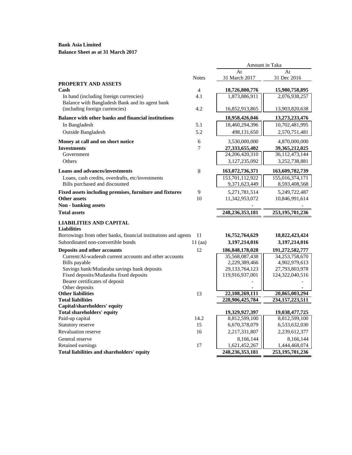# **Balance Sheet as at 31 March 2017**

|                                                                          |                       | Amount in Taka                  |                                 |
|--------------------------------------------------------------------------|-----------------------|---------------------------------|---------------------------------|
|                                                                          |                       | At                              | At                              |
|                                                                          | <b>Notes</b>          | 31 March 2017                   | 31 Dec 2016                     |
| <b>PROPERTY AND ASSETS</b>                                               |                       |                                 |                                 |
| Cash<br>In hand (including foreign currencies)                           | $\overline{4}$<br>4.1 | 18,726,800,776<br>1,873,886,911 | 15,980,758,895<br>2,076,938,257 |
| Balance with Bangladesh Bank and its agent bank                          |                       |                                 |                                 |
| (including foreign currencies)                                           | 4.2                   | 16,852,913,865                  | 13,903,820,638                  |
| Balance with other banks and financial institutions                      |                       | 18,958,426,046                  | 13,273,233,476                  |
| In Bangladesh                                                            | 5.1                   | 18,460,294,396                  | 10,702,481,995                  |
| Outside Bangladesh                                                       | 5.2                   | 498,131,650                     | 2,570,751,481                   |
| Money at call and on short notice                                        | 6                     | 3,530,000,000                   | 4,870,000,000                   |
| <b>Investments</b>                                                       | 7                     | 27,333,655,402                  | 39,365,212,025                  |
| Government                                                               |                       | 24,206,420,310                  | 36, 112, 473, 144               |
| Others                                                                   |                       | 3,127,235,092                   | 3,252,738,881                   |
| <b>Loans and advances/investments</b>                                    | 8                     | 163,072,736,371                 | 163,609,782,739                 |
| Loans, cash credits, overdrafts, etc/investments                         |                       | 153,701,112,922                 | 155,016,374,171                 |
| Bills purchased and discounted                                           |                       | 9,371,623,449                   | 8,593,408,568                   |
| Fixed assets including premises, furniture and fixtures                  | 9                     | 5,271,781,514                   | 5,249,722,487                   |
| <b>Other assets</b>                                                      | 10                    | 11,342,953,072                  | 10,846,991,614                  |
| <b>Non - banking assets</b>                                              |                       |                                 |                                 |
| <b>Total assets</b>                                                      |                       | 248,236,353,181                 | 253, 195, 701, 236              |
| <b>LIABILITIES AND CAPITAL</b>                                           |                       |                                 |                                 |
| <b>Liabilities</b>                                                       |                       |                                 |                                 |
| Borrowings from other banks, financial institutions and agents           | 11                    | 16,752,764,629                  | 18,822,423,424                  |
| Subordinated non-convertible bonds                                       | $11$ (aa)             | 3,197,214,016                   | 3, 197, 214, 016                |
| Deposits and other accounts                                              | 12                    | 186, 848, 178, 028              | 191,272,582,777                 |
| Current/Al-wadeeah current accounts and other accounts                   |                       | 35,568,087,438                  | 34, 253, 758, 670               |
| Bills payable                                                            |                       | 2,229,389,466                   | 4,902,979,613                   |
| Savings bank/Mudaraba savings bank deposits                              |                       | 29, 133, 764, 123               | 27,793,803,978                  |
| Fixed deposits/Mudaraba fixed deposits<br>Bearer certificates of deposit |                       | 119,916,937,001                 | 124,322,040,516                 |
| Other deposits                                                           |                       |                                 |                                 |
| <b>Other liabilities</b>                                                 | 13                    | 22,108,269,111                  | 20,865,003,294                  |
| <b>Total liabilities</b>                                                 |                       | 228,906,425,784                 | 234, 157, 223, 511              |
| Capital/shareholders' equity                                             |                       |                                 |                                 |
| <b>Total shareholders' equity</b>                                        |                       | 19,329,927,397                  | 19,038,477,725                  |
| Paid-up capital                                                          | 14.2                  | 8,812,599,100                   | 8,812,599,100                   |
| Statutory reserve                                                        | 15                    | 6,670,378,079                   | 6,533,632,030                   |
| <b>Revaluation reserve</b>                                               | 16                    | 2,217,331,807                   | 2,239,612,377                   |
| General reserve                                                          |                       | 8,166,144                       | 8,166,144                       |
| Retained earnings                                                        | 17                    | 1,621,452,267                   | 1,444,468,074                   |
| Total liabilities and shareholders' equity                               |                       | 248, 236, 353, 181              | 253, 195, 701, 236              |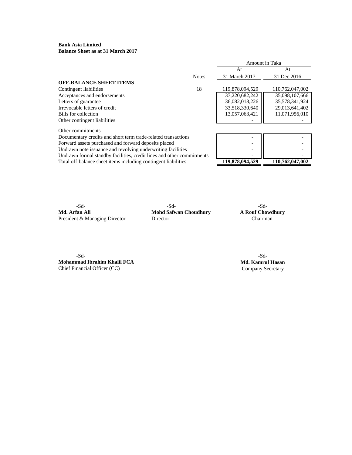**Bank Asia Limited Balance Sheet as at 31 March 2017**

|                                                                       |              | Amount in Taka  |                 |
|-----------------------------------------------------------------------|--------------|-----------------|-----------------|
|                                                                       |              | At              | At              |
|                                                                       | <b>Notes</b> | 31 March 2017   | 31 Dec 2016     |
| <b>OFF-BALANCE SHEET ITEMS</b>                                        |              |                 |                 |
| Contingent liabilities                                                | 18           | 119,878,094,529 | 110,762,047,002 |
| Acceptances and endorsements                                          |              | 37,220,682,242  | 35,098,107,666  |
| Letters of guarantee                                                  |              | 36,082,018,226  | 35,578,341,924  |
| Irrevocable letters of credit                                         |              | 33,518,330,640  | 29,013,641,402  |
| Bills for collection                                                  |              | 13,057,063,421  | 11,071,956,010  |
| Other contingent liabilities                                          |              |                 |                 |
| Other commitments                                                     |              |                 |                 |
| Documentary credits and short term trade-related transactions         |              |                 |                 |
| Forward assets purchased and forward deposits placed                  |              |                 |                 |
| Undrawn note issuance and revolving underwriting facilities           |              |                 |                 |
| Undrawn formal standby facilities, credit lines and other commitments |              |                 |                 |
| Total off-balance sheet items including contingent liabilities        |              | 119,878,094,529 | 110,762,047,002 |

-Sd- -Sd- -Sd-President & Managing Director Director

**Mohd Safwan Choudhury A Rouf Chowd** Director **Chairman** 

-Sd- -Sd-**Mohammad Ibrahim Khalil FCA Md. Kamrul Hasan** Chief Financial Officer (CC) Company Secretary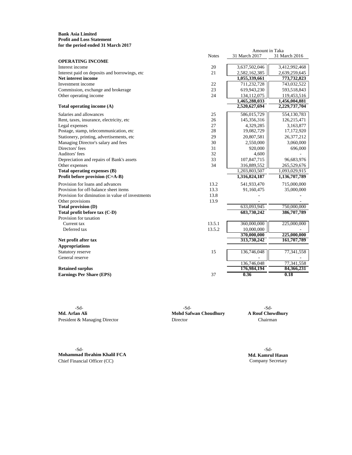## **Bank Asia Limited Profit and Loss Statement for the period ended 31 March 2017**

| Amount in Taka                                   |              |               |               |  |
|--------------------------------------------------|--------------|---------------|---------------|--|
|                                                  | <b>Notes</b> | 31 March 2017 | 31 March 2016 |  |
| <b>OPERATING INCOME</b>                          |              |               |               |  |
| Interest income                                  | 20           | 3,637,502,046 | 3,412,992,468 |  |
| Interest paid on deposits and borrowings, etc    | 21           | 2,582,162,385 | 2,639,259,645 |  |
| Net interest income                              |              | 1,055,339,661 | 773,732,823   |  |
| Investment income                                | 22           | 711,232,728   | 743,032,522   |  |
| Commission, exchange and brokerage               | 23           | 619,943,230   | 593,518,843   |  |
| Other operating income                           | 24           | 134,112,075   | 119,453,516   |  |
|                                                  |              | 1,465,288,033 | 1,456,004,881 |  |
| Total operating income (A)                       |              | 2,520,627,694 | 2,229,737,704 |  |
| Salaries and allowances                          | 25           | 586,015,729   | 554,130,783   |  |
| Rent, taxes, insurance, electricity, etc         | 26           | 145,356,316   | 126,215,471   |  |
| Legal expenses                                   | 27           | 4,329,285     | 3,163,877     |  |
| Postage, stamp, telecommunication, etc           | 28           | 19,082,729    | 17,172,920    |  |
| Stationery, printing, advertisements, etc        | 29           | 20,807,581    | 26,377,212    |  |
| Managing Director's salary and fees              | 30           | 2,550,000     | 3,060,000     |  |
| Directors' fees                                  | 31           | 920,000       | 696,000       |  |
| Auditors' fees                                   | 32           | 4,600         |               |  |
| Depreciation and repairs of Bank's assets        | 33           | 107,847,715   | 96,683,976    |  |
| Other expenses                                   | 34           | 316,889,552   | 265,529,676   |  |
| Total operating expenses (B)                     |              | 1,203,803,507 | 1,093,029,915 |  |
| Profit before provision (C=A-B)                  |              | 1,316,824,187 | 1,136,707,789 |  |
| Provision for loans and advances                 | 13.2         | 541,933,470   | 715,000,000   |  |
| Provision for off-balance sheet items            | 13.3         | 91,160,475    | 35,000,000    |  |
| Provision for diminution in value of investments | 13.8         |               |               |  |
| Other provisions                                 | 13.9         |               |               |  |
| <b>Total provision (D)</b>                       |              | 633,093,945   | 750,000,000   |  |
| Total profit before tax (C-D)                    |              | 683,730,242   | 386,707,789   |  |
| Provision for taxation                           |              |               |               |  |
| Current tax                                      | 13.5.1       | 360,000,000   | 225,000,000   |  |
| Deferred tax                                     | 13.5.2       | 10,000,000    |               |  |
|                                                  |              | 370,000,000   | 225,000,000   |  |
| Net profit after tax                             |              | 313,730,242   | 161,707,789   |  |
| <b>Appropriations</b>                            |              |               |               |  |
| Statutory reserve                                | 15           | 136,746,048   | 77,341,558    |  |
| General reserve                                  |              |               |               |  |
|                                                  |              | 136,746,048   | 77,341,558    |  |
| <b>Retained surplus</b>                          |              | 176,984,194   | 84,366,231    |  |
| <b>Earnings Per Share (EPS)</b>                  | 37           | 0.36          | 0.18          |  |

**Md. Arfan Ali Mohd Safwan Choudhury A Rouf Chowdhury** President & Managing Director Director Director Director Chairman

-Sd-<br>-Sd- -Sd-

-Sd- -Sd-**Mohammad Ibrahim Khalil FCA Md. Kamrul Hasan**<br>Chief Financial Officer (CC) **Md. Kamrul Hasan** Chief Financial Officer (CC)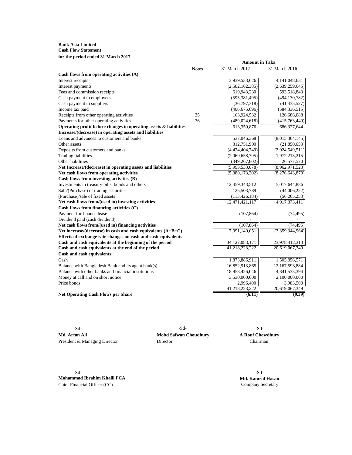## **Bank Asia Limited Cash Flow Statement for the period ended 31 March 2017**

|                                                                   |              | <b>Amount in Taka</b> |                 |
|-------------------------------------------------------------------|--------------|-----------------------|-----------------|
|                                                                   | <b>Notes</b> | 31 March 2017         | 31 March 2016   |
| Cash flows from operating activities (A)                          |              |                       |                 |
| Interest receipts                                                 |              | 3,939,533,626         | 4,141,048,631   |
| Interest payments                                                 |              | (2,582,162,385)       | (2,639,259,645) |
| Fees and commission receipts                                      |              | 619,943,230           | 593,518,843     |
| Cash payment to employees                                         |              | (595, 381, 495)       | (494, 130, 782) |
| Cash payment to suppliers                                         |              | (36,797,318)          | (41, 435, 527)  |
| Income tax paid                                                   |              | (406, 675, 696)       | (584, 336, 515) |
| Receipts from other operating activities                          | 35           | 163,924,532           | 126,686,088     |
| Payments for other operating activities                           | 36           | (489, 024, 618)       | (415, 763, 449) |
| Operating profit before changes in operating assets & liabilities |              | 613,359,876           | 686, 327, 644   |
| Increase/(decrease) in operating assets and liabilities           |              |                       |                 |
| Loans and advances to customers and banks                         |              | 537,046,368           | (8,015,364,145) |
| Other assets                                                      |              | 312,751,900           | (21, 850, 653)  |
| Deposits from customers and banks                                 |              | (4,424,404,749)       | (2,924,549,511) |
| <b>Trading liabilities</b>                                        |              | (2,069,658,795)       | 1,972,215,215   |
| Other liabilities                                                 |              | (349, 267, 802)       | 26,577,570      |
| Net Increase/(decrease) in operating assets and liabilities       |              | (5,993,533,078)       | (8,962,971,523) |
| Net cash flows from operating activities                          |              | (5,380,173,202)       | (8,276,643,879) |
| Cash flows from investing activities (B)                          |              |                       |                 |
| Investments in treasury bills, bonds and others                   |              | 12,459,343,512        | 5,017,644,886   |
| Sale/(Purchase) of trading securities                             |              | 125,503,789           | (44,006,222)    |
| (Purchase)/sale of fixed assets                                   |              | (113, 426, 184)       | (56, 265, 253)  |
| Net cash flows from/(used in) investing activities                |              | 12,471,421,117        | 4,917,373,411   |
| Cash flows from financing activities (C)                          |              |                       |                 |
| Payment for finance lease                                         |              | (107, 864)            | (74, 495)       |
| Dividend paid (cash dividend)                                     |              |                       |                 |
| Net cash flows from/(used in) financing activities                |              | (107, 864)            | (74, 495)       |
| Net increase/(decrease) in cash and cash equivalents (A+B+C)      |              | 7,091,140,051         | (3,359,344,964) |
| Effects of exchange rate changes on cash and cash equivalents     |              |                       |                 |
| Cash and cash equivalents at the beginning of the period          |              | 34, 127, 083, 171     | 23,978,412,313  |
| Cash and cash equivalents at the end of the period                |              | 41,218,223,222        | 20,619,067,349  |
| Cash and cash equivalents:                                        |              |                       |                 |
| Cash                                                              |              | 1,873,886,911         | 1,505,956,571   |
| Balance with Bangladesh Bank and its agent bank(s)                |              | 16,852,913,865        | 12,167,593,884  |
| Balance with other banks and financial institutions               |              | 18,958,426,046        | 4,841,533,394   |
| Money at call and on short notice                                 |              | 3,530,000,000         | 2,100,000,000   |
| Prize bonds                                                       |              | 2,996,400             | 3,983,500       |
|                                                                   |              | 41,218,223,222        | 20,619,067,349  |
| <b>Net Operating Cash Flows per Share</b>                         |              | (6.11)                | (9.39)          |

**Md. Arfan Ali Mohd Safwan Choudhury A Rouf Chowdhury** President & Managing Director Director Director Chairman

-Sd- -Sd- -Sd-

-Sd- -Sd-**Mohammad Ibrahim Khalil FCA Md. Kamrul Hasan**<br>Chief Financial Officer (CC) **Md. Kamrul Hasan** Chief Financial Officer (CC)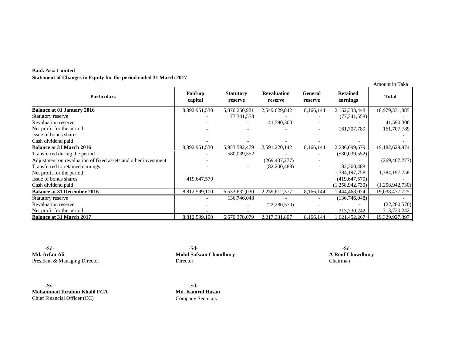| <b>Bank Asia Limited</b>                                          |
|-------------------------------------------------------------------|
| Statement of Changes in Equity for the period ended 31 March 2017 |

|                                                                |                    |                             |                               |                           |                             | Amount in Taka  |
|----------------------------------------------------------------|--------------------|-----------------------------|-------------------------------|---------------------------|-----------------------------|-----------------|
| <b>Particulars</b>                                             | Paid-up<br>capital | <b>Statutory</b><br>reserve | <b>Revaluation</b><br>reserve | <b>General</b><br>reserve | <b>Retained</b><br>earnings | <b>Total</b>    |
| <b>Balance at 01 January 2016</b>                              | 8,392,951,530      | 5,876,250,921               | 2,549,629,842                 | 8,166,144                 | 2,152,333,448               | 18,979,331,885  |
| Statutory reserve                                              |                    | 77,341,558                  |                               |                           | (77, 341, 558)              |                 |
| <b>Revaluation reserve</b>                                     |                    |                             | 41,590,300                    | $\overline{\phantom{a}}$  |                             | 41,590,300      |
| Net profit for the period                                      |                    |                             |                               | $\overline{\phantom{a}}$  | 161,707,789                 | 161,707,789     |
| Issue of bonus shares                                          |                    |                             |                               |                           |                             |                 |
| Cash dividend paid                                             |                    |                             |                               | $\overline{\phantom{a}}$  |                             |                 |
| <b>Balance at 31 March 2016</b>                                | 8,392,951,530      | 5,953,592,479               | 2,591,220,142                 | 8,166,144                 | 2,236,699,679               | 19,182,629,974  |
| Transferred during the period                                  |                    | 580,039,552                 |                               |                           | (580, 039, 552)             |                 |
| Adjustment on revaluation of fixed assets and other investment |                    |                             | (269, 407, 277)               | $\overline{\phantom{a}}$  |                             | (269, 407, 277) |
| Transferred to retained earnings                               |                    |                             | (82,200,488)                  | $\overline{\phantom{a}}$  | 82,200,488                  |                 |
| Net profit for the period                                      |                    |                             |                               | $\overline{\phantom{a}}$  | 1,384,197,758               | 1,384,197,758   |
| Issue of bonus shares                                          | 419,647,570        |                             |                               |                           | (419, 647, 570)             |                 |
| Cash dividend paid                                             |                    |                             |                               |                           | (1,258,942,730)             | (1,258,942,730) |
| <b>Balance at 31 December 2016</b>                             | 8,812,599,100      | 6,533,632,030               | 2,239,612,377                 | 8,166,144                 | .444,468,074                | 19,038,477,725  |
| Statutory reserve                                              |                    | 136,746,048                 |                               |                           | (136,746,048)               |                 |
| <b>Revaluation reserve</b>                                     |                    |                             | (22, 280, 570)                | $\overline{\phantom{a}}$  |                             | (22, 280, 570)  |
| Net profit for the period                                      |                    |                             |                               |                           | 313,730,242                 | 313,730,242     |
| <b>Balance at 31 March 2017</b>                                | 8,812,599,100      | 6,670,378,079               | 2,217,331,807                 | 8,166,144                 | ,621,452,267                | 19,329,927,397  |

**Md. Arfan Ali A Rouf Chowdhury**<br> **Mohd Safwan Choudhury A Rouf Chowdhury**<br> **President & Managing Director Chairman** President & Managing Director

-Sd- -Sd-**Mohammad Ibrahim Khalil FCA Md. Kamrul Hasan** Chief Financial Officer (CC) Company Secretary

-Sd- -Sd- -Sd-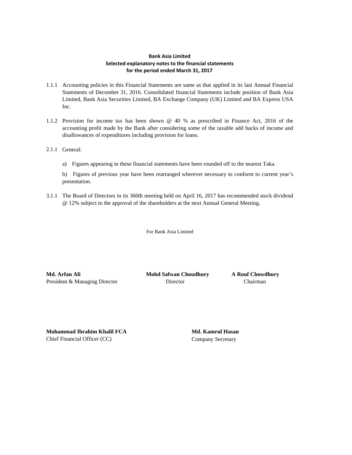# **Bank Asia Limited Selected explanatory notes to the financial statements for the period ended March 31, 2017**

- 1.1.1 Accounting policies in this Financial Statements are same as that applied in its last Annual Financial Statements of December 31, 2016. Consolidated financial Statements include position of Bank Asia Limited, Bank Asia Securities Limited, BA Exchange Company (UK) Limited and BA Express USA Inc.
- 1.1.2 Provision for income tax has been shown @ 40 % as prescribed in Finance Act, 2016 of the accounting profit made by the Bank after considering some of the taxable add backs of income and disallowances of expenditures including provision for loans.
- 2.1.1 General:
	- a) Figures appearing in these financial statements have been rounded off to the nearest Taka.

b) Figures of previous year have been rearranged wherever necessary to conform to current year's presentation.

3.1.1 The Board of Directors in its 360th meeting held on April 16, 2017 has recommended stock dividend @ 12% subject to the approval of the shareholders at the next Annual General Meeting.

For Bank Asia Limited

**Md. Arfan Ali Mohd Safwan Choudhury A Rouf Chowdhury** President & Managing Director **Director** Director **Chairman** 

**Mohammad Ibrahim Khalil FCA Md. Kamrul Hasan** Chief Financial Officer (CC) Company Secretary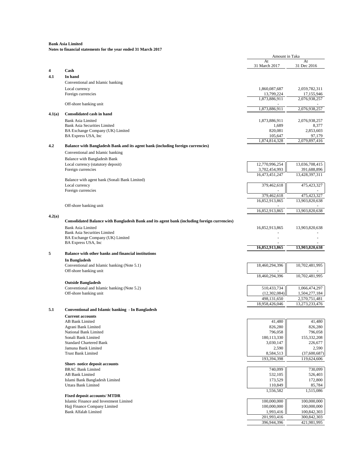|        |                                                                                             | Amount in Taka             |                                                 |
|--------|---------------------------------------------------------------------------------------------|----------------------------|-------------------------------------------------|
|        |                                                                                             | At                         | At                                              |
|        | Cash                                                                                        | 31 March 2017              | 31 Dec 2016                                     |
| 4.1    | In hand                                                                                     |                            |                                                 |
|        | Conventional and Islamic banking                                                            |                            |                                                 |
|        | Local currency                                                                              | 1,860,087,687              | 2,059,782,311                                   |
|        | Foreign currencies                                                                          | 13,799,224                 | 17,155,946                                      |
|        |                                                                                             | 1,873,886,911              | 2,076,938,257                                   |
|        | Off-shore banking unit                                                                      |                            |                                                 |
|        |                                                                                             | 1,873,886,911              | 2,076,938,257                                   |
| 4.1(a) | <b>Consolidated cash in hand</b>                                                            |                            |                                                 |
|        | Bank Asia Limited                                                                           | 1,873,886,911              | 2,076,938,257                                   |
|        | <b>Bank Asia Securities Limited</b>                                                         | 1,689                      | 8,377                                           |
|        | BA Exchange Company (UK) Limited<br>BA Express USA, Inc.                                    | 820,081<br>105,647         | 2,853,603<br>97,179                             |
|        |                                                                                             | 1,874,814,328              | 2,079,897,416                                   |
| 4.2    | Balance with Bangladesh Bank and its agent bank (including foreign currencies)              |                            |                                                 |
|        | Conventional and Islamic banking                                                            |                            |                                                 |
|        |                                                                                             |                            |                                                 |
|        | Balance with Bangladesh Bank                                                                | 12,770,996,254             | 13,036,708,415                                  |
|        | Local currency (statutory deposit)<br>Foreign currencies                                    | 3,702,454,993              | 391,688,896                                     |
|        |                                                                                             | 16,473,451,247             | 13,428,397,311                                  |
|        | Balance with agent bank (Sonali Bank Limited)                                               |                            |                                                 |
|        | Local currency                                                                              | 379,462,618                | 475,423,327                                     |
|        | Foreign currencies                                                                          |                            |                                                 |
|        |                                                                                             | 379.462.618                | 475,423,327                                     |
|        |                                                                                             | 16,852,913,865             | 13,903,820,638                                  |
|        | Off-shore banking unit                                                                      |                            |                                                 |
|        |                                                                                             | 16,852,913,865             | 13,903,820,638                                  |
| 4.2(a) | Consolidated Balance with Bangladesh Bank and its agent bank (including foreign currencies) |                            |                                                 |
|        |                                                                                             |                            |                                                 |
|        | <b>Bank Asia Limited</b><br><b>Bank Asia Securities Limited</b>                             | 16,852,913,865             | 13,903,820,638                                  |
|        | BA Exchange Company (UK) Limited                                                            |                            |                                                 |
|        | BA Express USA, Inc.                                                                        |                            |                                                 |
|        |                                                                                             | 16,852,913,865             | 13,903,820,638                                  |
|        | Balance with other banks and financial institutions                                         |                            |                                                 |
|        | In Bangladesh                                                                               |                            |                                                 |
|        | Conventional and Islamic banking (Note 5.1)                                                 | 18,460,294,396             | 10,702,481,995                                  |
|        | Off-shore banking unit                                                                      |                            |                                                 |
|        |                                                                                             | 18,460,294,396             | 10,702,481,995                                  |
|        | <b>Outside Bangladesh</b>                                                                   |                            |                                                 |
|        | Conventional and Islamic banking (Note 5.2)                                                 | 510,433,734                | 1,066,474,297                                   |
|        | Off-shore banking unit                                                                      | (12, 302, 084)             | 1,504,277,184                                   |
|        |                                                                                             | 498,131,650                | 2,570,751,481                                   |
|        |                                                                                             | 18,958,426,046             | 13,273,233,476                                  |
| 5.1    | Conventional and Islamic banking - In Bangladesh                                            |                            |                                                 |
|        | <b>Current accounts</b>                                                                     |                            |                                                 |
|        | AB Bank Limited                                                                             | 41,480                     | 41,480                                          |
|        | Agrani Bank Limited                                                                         | 826,280                    | 826,280                                         |
|        | National Bank Limited                                                                       | 796,058                    | 796,058                                         |
|        | Sonali Bank Limited                                                                         | 180, 113, 330              | 155,332,208                                     |
|        | <b>Standard Chartered Bank</b>                                                              | 3,030,147                  | 226,677                                         |
|        | Jamuna Bank Limited                                                                         | 2,590                      | 2,590                                           |
|        |                                                                                             |                            |                                                 |
|        | <b>Trust Bank Limited</b>                                                                   | 8,584,513                  |                                                 |
|        |                                                                                             | 193,394,398                |                                                 |
|        | Short-notice deposit accounts                                                               |                            |                                                 |
|        | <b>BRAC Bank Limited</b>                                                                    | 740,099                    |                                                 |
|        | <b>AB Bank Limited</b>                                                                      | 532,105                    |                                                 |
|        | Islami Bank Bangladesh Limited                                                              | 173,529                    |                                                 |
|        | Uttara Bank Limited                                                                         | 110,849                    |                                                 |
|        |                                                                                             | 1,556,582                  | 526,403<br>172,800<br>1,515,086                 |
|        | <b>Fixed deposit accounts/ MTDR</b><br>Islamic Finance and Investment Limited               | 100,000,000                | 100,000,000                                     |
|        | Hajj Finance Company Limited                                                                | 100,000,000                | 100,000,000                                     |
|        | <b>Bank Alfalah Limited</b>                                                                 | 1,993,416                  | 119,624,606<br>730,099<br>85,784<br>100,842,303 |
|        |                                                                                             | 201,993,416<br>396,944,396 | (37,600,687)<br>300,842,303                     |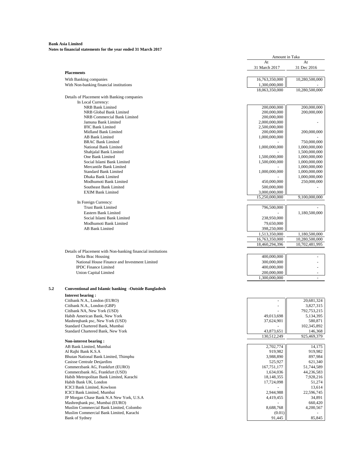|                                                              | Amount in Taka             |                          |
|--------------------------------------------------------------|----------------------------|--------------------------|
|                                                              | At                         | At                       |
|                                                              | 31 March 2017              | 31 Dec 2016              |
| <b>Placements</b>                                            |                            |                          |
| With Banking companies                                       | 16,763,350,000             | 10,280,500,000           |
| With Non-banking financial institutions                      | 1,300,000,000              |                          |
|                                                              | 18,063,350,000             | 10,280,500,000           |
| Details of Placement with Banking companies                  |                            |                          |
| In Local Currency:                                           |                            |                          |
| NRB Bank Limited                                             | 200,000,000                | 200,000,000              |
| NRB Global Bank Limited<br>NRB Commercial Bank Limited       | 200,000,000<br>200,000,000 | 200,000,000              |
| Jamuna Bank Limited                                          | 2,000,000,000              |                          |
| <b>IFIC Bank Limited</b>                                     | 2,500,000,000              |                          |
| Midland Bank Limited                                         | 200,000,000                | 200,000,000              |
| AB Bank Limited                                              | 1,000,000,000              |                          |
| <b>BRAC Bank Limited</b>                                     |                            | 750,000,000              |
| National Bank Limited                                        | 1,000,000,000              | 1,000,000,000            |
| Shahjalal Bank Limited                                       |                            | 1,500,000,000            |
| One Bank Limited                                             | 1,500,000,000              | 1,000,000,000            |
| Social Islami Bank Limited                                   | 1,500,000,000              | 1,000,000,000            |
| Mercantile Bank Limited                                      |                            | 1,000,000,000            |
| <b>Standard Bank Limited</b>                                 | 1,000,000,000              | 1,000,000,000            |
| Dhaka Bank Limited                                           |                            | 1,000,000,000            |
| Modhumoti Bank Limited                                       | 450,000,000                | 250,000,000              |
| Southeast Bank Limited                                       | 500,000,000                |                          |
| <b>EXIM Bank Limited</b>                                     | 3,000,000,000              |                          |
|                                                              | 15,250,000,000             | 9,100,000,000            |
| In Foreign Currency:                                         |                            |                          |
| <b>Trust Bank Limited</b>                                    | 796,500,000                |                          |
| Eastern Bank Limited                                         |                            | 1,180,500,000            |
| Social Islami Bank Limited                                   | 238,950,000                |                          |
| Modhumoti Bank Limited                                       | 79,650,000                 |                          |
| AB Bank Limited                                              | 398,250,000                |                          |
|                                                              | 1,513,350,000              | 1,180,500,000            |
|                                                              | 16,763,350,000             | 10,280,500,000           |
|                                                              | 18,460,294,396             | 10,702,481,995           |
| Details of Placement with Non-banking financial institutions |                            |                          |
| Delta Brac Housing                                           | 400,000,000                |                          |
| National House Finance and Investment Limited                | 300,000,000                |                          |
| <b>IPDC</b> Finance Limited                                  | 400,000,000                | $\overline{\phantom{a}}$ |
| Union Capital Limited                                        | 200,000,000                |                          |
|                                                              | 1,300,000,000              | $\sim$                   |
| <b>Conventional and Islamic banking -Outside Bangladesh</b>  |                            |                          |
| <b>Interest bearing:</b>                                     |                            |                          |
| Citibank N.A., London (EURO)                                 |                            | 20,681,324               |
| Citibank N.A., London (GBP)                                  |                            | 3,827,315                |
| Citibank NA, New York (USD)                                  |                            | 792,753,215              |
| Habib American Bank, New York                                | 49,013,698                 | 5,134,395                |
| Mashreqbank psc, New York (USD)                              | 37,624,901                 | 580,871                  |
| Standard Chartered Bank, Mumbai                              |                            | 102,345,892              |
| Standard Chartered Bank, New York                            | 43,873,651                 | 146,368                  |
|                                                              | 130,512,249                | 925,469,379              |
| Non-interest bearing:                                        |                            |                          |
| AB Bank Limited, Mumbai                                      | 2,702,774                  | 14,175                   |
| Al Rajhi Bank K.S.A                                          | 919,982                    | 919,982                  |
| Bhutan National Bank Limited, Thimphu                        | 3,988,890                  | 897,984                  |
| Casisse Centrale Desjardins                                  | 525,927                    | 621,340                  |
| Commerzbank AG, Frankfurt (EURO)                             | 167,751,177                | 51,744,589               |
| Commerzbank AG, Frankfurt (USD)                              | 1,634,036                  | 44,236,583               |
| Habib Metropolitan Bank Limited, Karachi                     | 18,148,355                 | 7,928,216                |
| Habib Bank UK, London                                        | 17,724,098                 | 51,274                   |
| <b>ICICI Bank Limited, Kowloon</b>                           |                            | 13,614                   |
| <b>ICICI Bank Limited, Mumbai</b>                            | 2,944,988                  | 22,596,745               |
| JP Morgan Chase Bank N.A New York, U.S.A                     | 4,419,455                  | 34,891                   |
| Mashreqbank psc, Mumbai (EURO)                               |                            | 660,420                  |
| Muslim Commercial Bank Limited, Colombo                      | 8,688,768                  | 4,200,567                |
| Muslim Commercial Bank Limited, Karachi                      | (0.01)                     |                          |
| Bank of Sydney                                               | 91,445                     | 85,845                   |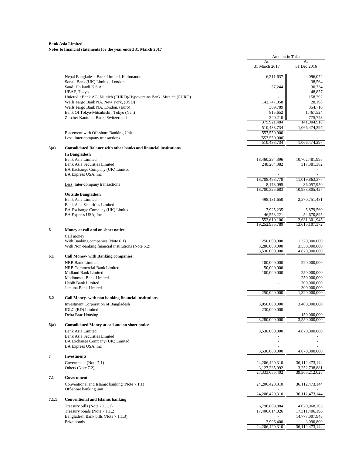|       |                                                                              | Amount in Taka            |                              |
|-------|------------------------------------------------------------------------------|---------------------------|------------------------------|
|       |                                                                              | At<br>31 March 2017       | At<br>31 Dec 2016            |
|       | Nepal Bangladesh Bank Limited, Kathmandu<br>Sonali Bank (UK) Limited, London | 6,211,637                 | 4,096,072<br>38,564          |
|       | Saudi Hollandi K.S.A                                                         | 57,244                    | 30,734                       |
|       | <b>UBAF, Tokyo</b>                                                           |                           | 48,857                       |
|       | Unicredit Bank AG, Munich (EURO)/Hypovereins Bank, Munich (EURO)             |                           | 158,292                      |
|       | Wells Fargo Bank NA, New York, (USD)                                         | 142,747,058               | 28,198                       |
|       | Wells Fargo Bank NA, London, (Euro)                                          | 309,789                   | 354,710                      |
|       | Bank Of Tokyo-Mitsubishi, Tokyo (Yen)                                        | 815,652                   | 1,467,524                    |
|       | Zurcher Kantonal Bank, Switzerland                                           | 240,210<br>379,921,484    | 775,743<br>141,004,918       |
|       |                                                                              | 510,433,734               | 1,066,474,297                |
|       | Placement with Off-shore Banking Unit                                        | 557,550,000               |                              |
|       | Less: Inter-company transactions                                             | (557, 550, 000)           |                              |
|       |                                                                              | 510,433,734               | 1,066,474,297                |
|       | <b>Consolidated Balance with other banks and financial institutions</b>      |                           |                              |
|       | In Bangladesh                                                                |                           |                              |
|       | <b>Bank Asia Limited</b>                                                     | 18,460,294,396            | 10,702,481,995               |
|       | <b>Bank Asia Securities Limited</b>                                          | 248,204,382               | 317,381,382                  |
|       | BA Exchange Company (UK) Limited<br>BA Express USA, Inc                      |                           |                              |
|       |                                                                              | 18,708,498,778            | 11,019,863,377               |
|       | Less: Inter-company transactions                                             | 8,173,095                 | 36,057,950                   |
|       |                                                                              | 18,700,325,683            | 10,983,805,427               |
|       | <b>Outside Bangladesh</b>                                                    |                           |                              |
|       | <b>Bank Asia Limited</b>                                                     | 498,131,650               | 2,570,751,481                |
|       | <b>Bank Asia Securities Limited</b>                                          |                           |                              |
|       | BA Exchange Company (UK) Limited                                             | 7,925,235                 | 5,879,569                    |
|       | BA Express USA, Inc.                                                         | 46,553,221<br>552,610,106 | 54,670,895<br>2,631,301,945  |
|       |                                                                              | 19,252,935,789            | 13,615,107,372               |
|       | Money at call and on short notice                                            |                           |                              |
|       | Call money                                                                   |                           |                              |
|       | With Banking companies (Note 6.1)                                            | 250,000,000               | 1,320,000,000                |
|       | With Non-banking financial institutions (Note 6.2)                           | 3,280,000,000             | 3,550,000,000                |
|       |                                                                              | 3,530,000,000             | 4,870,000,000                |
|       | <b>Call Money- with Banking companies:</b>                                   |                           |                              |
|       | NRB Bank Limited                                                             | 100,000,000               | 220,000,000                  |
|       | NRB Commercial Bank Limited                                                  | 50,000,000                |                              |
|       | Midland Bank Limited                                                         | 100,000,000               | 250,000,000                  |
|       | Modhumoti Bank Limited                                                       |                           | 250,000,000                  |
|       | Habib Bank Limited                                                           |                           | 300,000,000                  |
|       | Jamuna Bank Limited                                                          |                           | 300,000,000                  |
|       |                                                                              | 250,000,000               | 1,320,000,000                |
|       | Call Money- with non banking financial institutions                          |                           |                              |
|       | <b>Investment Corporation of Bangladesh</b>                                  | 3,050,000,000             | 3,400,000,000                |
|       | IDLC (BD) Limited                                                            | 230,000,000               |                              |
|       | Delta Brac Housing                                                           | 3,280,000,000             | 150,000,000<br>3,550,000,000 |
|       | <b>Consolidated Money at call and on short notice</b>                        |                           |                              |
| 6(a)  | <b>Bank Asia Limited</b>                                                     | 3,530,000,000             | 4,870,000,000                |
|       | <b>Bank Asia Securities Limited</b>                                          |                           |                              |
|       | BA Exchange Company (UK) Limited                                             |                           |                              |
|       | BA Express USA, Inc.                                                         |                           |                              |
|       | <b>Investments</b>                                                           | 3,530,000,000             | 4,870,000,000                |
|       | Government (Note 7.1)                                                        | 24,206,420,310            | 36,112,473,144               |
|       | Others (Note 7.2)                                                            | 3,127,235,092             | 3,252,738,881                |
|       |                                                                              | 27,333,655,402            | 39,365,212,025               |
|       | Government                                                                   |                           |                              |
|       | Conventional and Islamic banking (Note 7.1.1)                                | 24, 206, 420, 310         | 36, 112, 473, 144            |
|       | Off-shore banking unit                                                       |                           |                              |
|       |                                                                              | 24,206,420,310            | 36,112,473,144               |
| 7.1.1 | <b>Conventional and Islamic banking</b>                                      |                           |                              |
|       | Treasury bills (Note 7.1.1.1)                                                | 6,796,809,884             | 4,020,968,205                |
|       | Treasury bonds (Note 7.1.1.2)                                                | 17,406,614,026            | 17,311,406,196               |
|       | Bangladesh Bank bills (Note 7.1.1.3)                                         |                           | 14,777,007,943               |
|       | Prize bonds                                                                  | 2,996,400                 | 3,090,800                    |
|       |                                                                              | 24,206,420,310            | 36, 112, 473, 144            |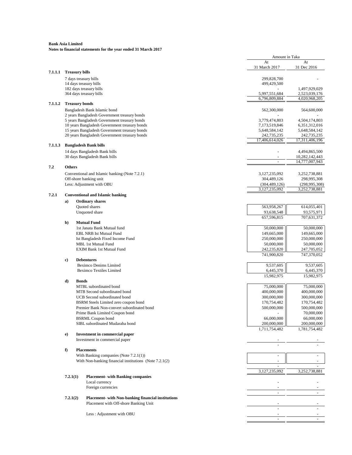|         |               |                                                                                                | Amount in Taka               |                              |
|---------|---------------|------------------------------------------------------------------------------------------------|------------------------------|------------------------------|
|         |               |                                                                                                | At                           | At                           |
|         |               |                                                                                                | 31 March 2017                | 31 Dec 2016                  |
| 7.1.1.1 |               | <b>Treasury bills</b>                                                                          |                              |                              |
|         |               | 7 days treasury bills<br>14 days treasury bills                                                | 299,828,700<br>499,429,500   |                              |
|         |               | 182 days treasury bills                                                                        |                              | 1,497,929,029                |
|         |               | 364 days treasury bills                                                                        | 5,997,551,684                | 2,523,039,176                |
|         |               |                                                                                                | 6,796,809,884                | 4,020,968,205                |
| 7.1.1.2 |               | <b>Treasury bonds</b>                                                                          |                              |                              |
|         |               | Bangladesh Bank Islamic bond                                                                   | 562,300,000                  | 564,600,000                  |
|         |               | 2 years Bangladesh Government treasury bonds                                                   |                              |                              |
|         |               | 5 years Bangladesh Government treasury bonds                                                   | 3,779,474,803                | 4,504,174,803                |
|         |               | 10 years Bangladesh Government treasury bonds                                                  | 7,173,519,846                | 6, 351, 312, 016             |
|         |               | 15 years Bangladesh Government treasury bonds<br>20 years Bangladesh Government treasury bonds | 5,648,584,142<br>242,735,235 | 5,648,584,142<br>242,735,235 |
|         |               |                                                                                                | 17,406,614,026               | 17,311,406,196               |
| 7.1.1.3 |               | <b>Bangladesh Bank bills</b>                                                                   |                              |                              |
|         |               | 14 days Bangladesh Bank bills                                                                  |                              | 4,494,865,500                |
|         |               | 30 days Bangladesh Bank bills                                                                  | $\sim$                       | 10,282,142,443               |
|         |               |                                                                                                | $\sim$                       | 14,777,007,943               |
| 7.2     | <b>Others</b> |                                                                                                |                              |                              |
|         |               | Conventional and Islamic banking (Note 7.2.1)                                                  | 3,127,235,092                | 3,252,738,881                |
|         |               | Off-shore banking unit                                                                         | 304,489,126                  | 298,995,308                  |
|         |               | Less: Adjustment with OBU                                                                      | (304, 489, 126)              | (298, 995, 308)              |
|         |               |                                                                                                | 3,127,235,092                | 3,252,738,881                |
| 7.2.1   |               | <b>Conventional and Islamic banking</b>                                                        |                              |                              |
|         | a)            | <b>Ordinary shares</b>                                                                         |                              |                              |
|         |               | Quoted shares                                                                                  | 563,958,267                  | 614,055,401                  |
|         |               | Unquoted share                                                                                 | 93,638,548                   | 93,575,971                   |
|         |               |                                                                                                | 657,596,815                  | 707,631,372                  |
|         | b)            | <b>Mutual Fund</b>                                                                             |                              |                              |
|         |               | 1st Janata Bank Mutual fund                                                                    | 50,000,000                   | 50,000,000                   |
|         |               | <b>EBL NRB Ist Mutual Fund</b>                                                                 | 149,665,000                  | 149,665,000                  |
|         |               | Ist Bangladesh Fixed Income Fund                                                               | 250,000,000                  | 250,000,000                  |
|         |               | <b>MBL 1st Mutual Fund</b>                                                                     | 50,000,000                   | 50,000,000                   |
|         |               | EXIM Bank 1st Mutual Fund                                                                      | 242,235,820                  | 247,705,052                  |
|         | $\bf c)$      | <b>Debentures</b>                                                                              | 741,900,820                  | 747,370,052                  |
|         |               | <b>Beximco Denims Limited</b>                                                                  | 9,537,605                    | 9,537,605                    |
|         |               | <b>Beximco Textiles Limited</b>                                                                | 6,445,370                    | 6,445,370                    |
|         |               |                                                                                                | 15,982,975                   | 15,982,975                   |
|         | d)            | <b>Bonds</b>                                                                                   |                              |                              |
|         |               | MTBL subordinated bond                                                                         | 75,000,000                   | 75,000,000                   |
|         |               | MTB Second subordinated bond                                                                   | 400,000,000                  | 400,000,000                  |
|         |               | UCB Second subordinated bond                                                                   | 300,000,000                  | 300,000,000                  |
|         |               | BSRM Steels Limited zero coupon bond                                                           | 170,754,482                  | 170,754,482                  |
|         |               | Premier Bank Non-convert subordinated bond                                                     | 500,000,000                  | 500,000,000                  |
|         |               | Prime Bank Limited Coupon bond                                                                 |                              | 70,000,000                   |
|         |               | <b>BSRML</b> Coupon bond                                                                       | 66,000,000                   | 66,000,000                   |
|         |               | SIBL subordinated Mudaraba bond                                                                | 200,000,000                  | 200,000,000                  |
|         |               |                                                                                                | 1,711,754,482                | 1,781,754,482                |
|         | e)            | Investment in commercial paper<br>Investment in commercial paper                               |                              |                              |
|         |               |                                                                                                |                              |                              |
|         | f)            | <b>Placements</b>                                                                              |                              |                              |
|         |               | With Banking companies (Note 7.2.1(1))                                                         | $\overline{\phantom{a}}$     |                              |
|         |               | With Non-banking financial institutions (Note 7.2.1(2)                                         |                              |                              |
|         |               |                                                                                                |                              |                              |
|         |               |                                                                                                | 3,127,235,092                | 3,252,738,881                |
|         | 7.2.1(1)      | <b>Placement- with Banking companies</b>                                                       |                              |                              |
|         |               | Local currency                                                                                 |                              |                              |
|         |               | Foreign currencies                                                                             |                              |                              |
|         |               |                                                                                                |                              |                              |
|         | 7.2.1(2)      | <b>Placement-</b> with Non-banking financial institutions                                      |                              |                              |
|         |               | Placement with Off-shore Banking Unit                                                          |                              |                              |
|         |               |                                                                                                |                              |                              |
|         |               | Less: Adjustment with OBU                                                                      |                              |                              |
|         |               |                                                                                                |                              |                              |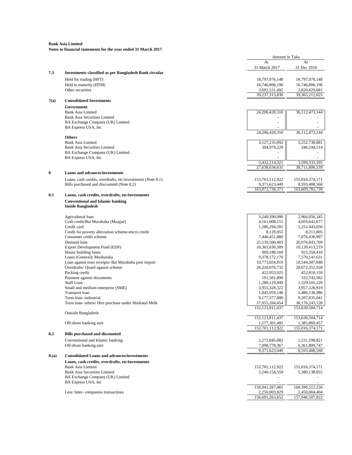|      |                                                               | Amount in Taka     |                   |
|------|---------------------------------------------------------------|--------------------|-------------------|
|      |                                                               | At                 | At                |
|      |                                                               | 31 March 2017      | 31 Dec 2016       |
| 7.3  | <b>Investments classified as per Bangladesh Bank circular</b> |                    |                   |
|      | Held for trading (HFT)                                        | 18,797,976,148     | 18,797,976,148    |
|      | Held to maturity (HTM)                                        | 16,746,806,196     | 16,746,806,196    |
|      | Other securities                                              | 3,692,531,492      | 3,820,429,681     |
|      |                                                               | 39,237,313,836     | 39, 365, 212, 025 |
| 7(a) | <b>Consolidated Investments</b>                               |                    |                   |
|      | Government                                                    |                    |                   |
|      | <b>Bank Asia Limited</b>                                      | 24,206,420,310     | 36,112,473,144    |
|      | <b>Bank Asia Securities Limited</b>                           |                    |                   |
|      | BA Exchange Company (UK) Limited                              |                    |                   |
|      | BA Express USA, Inc                                           |                    |                   |
|      |                                                               | 24,206,420,310     | 36,112,473,144    |
|      | <b>Others</b>                                                 |                    |                   |
|      | <b>Bank Asia Limited</b>                                      | 3,127,235,092      | 3,252,738,881     |
|      | <b>Bank Asia Securities Limited</b>                           | 304,979,229        | 346,594,514       |
|      | BA Exchange Company (UK) Limited                              |                    |                   |
|      | BA Express USA, Inc.                                          |                    |                   |
|      |                                                               | 3,432,214,321      | 3,599,333,395     |
|      |                                                               | 27,638,634,631     | 39,711,806,539    |
|      | <b>Loans and advances/investments</b>                         |                    |                   |
|      |                                                               |                    |                   |
|      | Loans, cash credits, overdrafts, etc/investments (Note 8.1)   | 153,701,112,922    | 155,016,374,171   |
|      | Bills purchased and discounted (Note 8.2)                     | 9,371,623,449      | 8,593,408,568     |
|      |                                                               | 163,072,736,371    | 163,609,782,739   |
| 8.1  | Loans, cash credits, overdrafts, etc/investments              |                    |                   |
|      | <b>Conventional and Islamic banking</b>                       |                    |                   |
|      | <b>Inside Bangladesh</b>                                      |                    |                   |
|      |                                                               |                    |                   |
|      | Agricultural loan                                             | 3,240,390,080      | 2,966,056,345     |
|      | Cash credit/Bai Murabaha (Muajjal)                            | 4, 161, 008, 151   | 4,059,642,677     |
|      | Credit card                                                   | 1,286,294,281      | 1,252,443,050     |
|      | Credit for poverty alleviation scheme-micro credit            | 8,129,055          | 8,211,805         |
|      | Consumer credit scheme                                        | 7,446,451,880      | 7,076,436,997     |
|      | Demand loan                                                   | 25,139,560,403     | 26,076,843,769    |
|      | Export Development Fund (EDF)                                 | 10,365,030,309     | 10,139,413,219    |
|      | House building loans                                          | 969,188,169        | 923,358,410       |
|      | Loans (General)/ Musharaka                                    | 9,378,172,170      | 7,570,141,631     |
|      | Loan against trust receipts/ Bai Murabaha post import         | 10,773,054,819     | 10,544,307,848    |
|      | Overdrafts/ Quard against scheme                              | 26,220,076,732     | 28,072,352,928    |
|      | Packing credit                                                | 422,953,925        | 452,810,159       |
|      | Payment against documents                                     | 191,501,890        | 332,742,582       |
|      | <b>Staff Loan</b>                                             | 1,288,129,849      | 1,329,101,220     |
|      | Small and medium enterprise (SME)                             | 3,955,328,322      | 3,957,226,919     |
|      | Transport loan                                                | 1,045,959,148      | 1,486,136,986     |
|      | Term loan-industrial                                          | 9,177,377,800      | 9,207,035,041     |
|      | Term loan- others/ Hire purchase under Shirkatul Melk         | 37,055,204,454     | 38, 176, 243, 128 |
|      |                                                               | 152, 123, 811, 437 | 153,630,504,714   |
|      | Outside Bangladesh                                            |                    |                   |
|      |                                                               | 152, 123, 811, 437 | 153,630,504,714   |
|      | Off-shore banking unit                                        | 1,577,301,485      | 1,385,869,457     |
|      |                                                               | 153,701,112,922    | 155,016,374,171   |
| 8.2  | <b>Bills purchased and discounted</b>                         |                    |                   |
|      |                                                               |                    |                   |
|      | Conventional and Islamic banking                              | 2,272,845,082      | 2,231,598,821     |
|      | Off-shore banking unit                                        | 7,098,778,367      | 6,361,809,747     |
|      |                                                               | 9,371,623,449      | 8,593,408,568     |
| 8(a) | <b>Consolidated Loans and advances/investments</b>            |                    |                   |
|      | Loans, cash credits, overdrafts, etc/investments              |                    |                   |
|      | <b>Bank Asia Limited</b>                                      | 153,701,112,922    | 155,016,374,171   |
|      | <b>Bank Asia Securities Limited</b>                           | 5,240,154,559      | 5,380,138,055     |
|      | BA Exchange Company (UK) Limited                              |                    |                   |
|      | BA Express USA, Inc.                                          |                    |                   |
|      |                                                               | 158,941,267,481    | 160,396,512,226   |
|      | Less: Inter-companies transactions                            | 2,250,003,829      | 2,450,004,404     |
|      |                                                               | 156,691,263,652    | 157,946,507,822   |
|      |                                                               |                    |                   |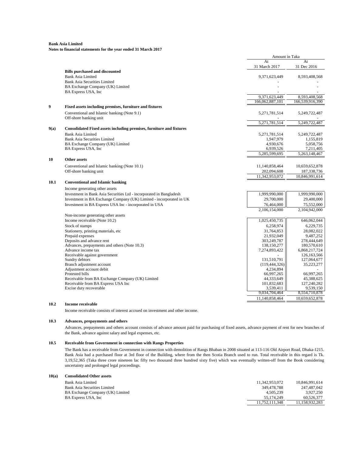**Notes to financial statements for the year ended 31 March 2017**

|      |                                                                      | Amount in Taka  |                              |
|------|----------------------------------------------------------------------|-----------------|------------------------------|
|      |                                                                      | At              | At                           |
|      | <b>Bills purchased and discounted</b>                                | 31 March 2017   | 31 Dec 2016                  |
|      | <b>Bank Asia Limited</b>                                             | 9,371,623,449   | 8,593,408,568                |
|      | <b>Bank Asia Securities Limited</b>                                  |                 |                              |
|      | BA Exchange Company (UK) Limited                                     |                 |                              |
|      | BA Express USA, Inc                                                  |                 |                              |
|      |                                                                      | 9,371,623,449   | 8,593,408,568                |
|      |                                                                      | 166.062.887.101 | 166,539,916,390              |
| 9    | Fixed assets including premises, furniture and fixtures              |                 |                              |
|      | Conventional and Islamic banking (Note 9.1)                          | 5,271,781,514   | 5,249,722,487                |
|      | Off-shore banking unit                                               |                 |                              |
|      |                                                                      | 5,271,781,514   | 5.249.722.487                |
| 9(a) | Consolidated Fixed assets including premises, furniture and fixtures |                 |                              |
|      | <b>Bank Asia Limited</b>                                             | 5,271,781,514   | 5,249,722,487                |
|      | <b>Bank Asia Securities Limited</b>                                  | 1,947,979       | 1,155,819                    |
|      | BA Exchange Company (UK) Limited                                     | 4.930.676       | 5.058.756                    |
|      | BA Express USA, Inc                                                  | 6,939,526       | 7,211,405                    |
|      |                                                                      | 5,285,599,695   | 5,263,148,467                |
| 10   | Other assets                                                         |                 |                              |
|      | Conventional and Islamic banking (Note 10.1)                         | 11,140,858,464  | 10,659,652,878               |
|      | Off-shore banking unit                                               | 202,094,608     | 187,338,736                  |
|      |                                                                      | 11,342,953,072  | 10,846,991,614               |
| 10.1 | <b>Conventional and Islamic banking</b>                              |                 |                              |
|      |                                                                      |                 |                              |
|      | Income generating other assets                                       |                 |                              |
|      | Investment in Bank Asia Securities Ltd - incorporated in Bangladesh  | 1.999.990.000   | 1,999,990,000                |
|      | Investment in BA Exchange Company (UK) Limited - incorporated in UK  | 29,700,000      | 29,400,000                   |
|      | Investment in BA Express USA Inc - incorporated in USA               | 76,464,000      | 75,552,000                   |
|      |                                                                      | 2.106.154.000   | 2,104,942,000                |
|      | Non-income generating other assets                                   |                 |                              |
|      | Income receivable (Note 10.2)                                        | 1,025,450,735   | 646,062,044                  |
|      | Stock of stamps                                                      | 6,258,974       | 6,229,735                    |
|      | Stationery, printing materials, etc                                  | 31,764,853      | 28,082,022                   |
|      | Prepaid expenses                                                     | 21,932,049      | 9,487,252                    |
|      | Deposits and advance rent                                            | 303,249,787     | 278,444,649                  |
|      | Advances, prepayments and others (Note 10.3)<br>Advance income tax   | 138,150,277     | 180,570,610                  |
|      | Receivable against government                                        | 7,274,893,422   | 6,868,217,724<br>126,163,566 |
|      | Sundry debtors                                                       | 131,510,791     | 127,064,677                  |
|      | Branch adjustment account                                            | (119, 444, 326) | 35,223,277                   |
|      | Adjustment account debit                                             | 4,234,894       |                              |
|      | Protested bills                                                      | 66,997,265      | 66,997,265                   |
|      | Receivable from BA Exchange Company (UK) Limited                     | 44,333,649      | 45,388,625                   |
|      | Receivable from BA Express USA Inc                                   | 101,832,683     | 127,240,282                  |
|      | Excise duty recoverable                                              | 3,539,411       | 9,539,150                    |
|      |                                                                      | 9,034,704,464   | 8,554,710,878                |
|      |                                                                      | 11,140,858,464  | 10,659,652,878               |

#### **10.2 Income receivable**

Income receivable consists of interest accrued on investment and other income.

#### **10.3 Advances, prepayments and others**

Advances, prepayments and others account consists of advance amount paid for purchasing of fixed assets, advance payment of rent for new branches of the Bank, advance against salary and legal expenses, etc.

#### **10.5 Receivable from Government in connection with Rangs Properties**

The Bank has a receivable from Government in connection with demolition of Rangs Bhaban in 2008 situated at 113-116 Old Airport Road, Dhaka-1215. Bank Asia had a purchased floor at 3rd floor of the Building, where from the then Scotia Branch used to run. Total receivable in this regard is Tk. 3,19,52,365 (Taka three crore nineteen lac fifty two thousand three hundred sixty five) which was eventually written-off from the Book considering uncertainty and prolonged legal proceedings.

#### **10(a) Consolidated Other assets**

| Bank Asia Limited                | 11.342.953.072 | 10.846.991.614 |
|----------------------------------|----------------|----------------|
| Bank Asia Securities Limited     | 349.478.788    | 247.487.042    |
| BA Exchange Company (UK) Limited | 4.505.239      | 3.927.250      |
| BA Express USA, Inc.             | 55.174.249     | 60.526.377     |
|                                  | 11.752.111.348 | 11.158.932.283 |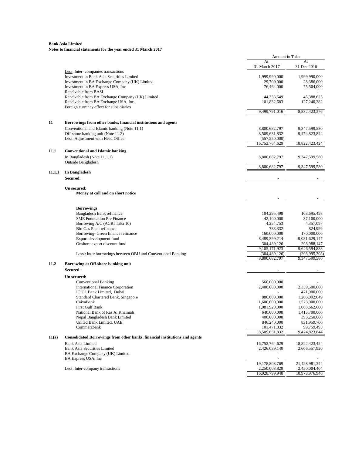|        |                                                                                              | Amount in Taka                   |                                  |
|--------|----------------------------------------------------------------------------------------------|----------------------------------|----------------------------------|
|        |                                                                                              | At<br>31 March 2017              | At<br>31 Dec 2016                |
|        | Less: Inter-companies transactions                                                           |                                  |                                  |
|        | Investment in Bank Asia Securities Limited<br>Investment in BA Exchange Company (UK) Limited | 1,999,990,000<br>29,700,000      | 1,999,990,000<br>28,386,000      |
|        | Investment in BA Express USA, Inc.                                                           | 76,464,000                       | 75,504,000                       |
|        | Receivable from BASL                                                                         |                                  |                                  |
|        | Receivable from BA Exchange Company (UK) Limited                                             | 44,333,649                       | 45,388,625                       |
|        | Receivable from BA Exchange USA, Inc.                                                        | 101,832,683                      | 127,240,282                      |
|        | Foreign currency effect for subsidiaries                                                     |                                  |                                  |
|        |                                                                                              | 9,499,791,016                    | 8,882,423,376                    |
|        | Borrowings from other banks, financial institutions and agents                               |                                  |                                  |
|        | Conventional and Islamic banking (Note 11.1)                                                 | 8,800,682,797                    | 9,347,599,580                    |
|        | Off-shore banking unit (Note 11.2)                                                           | 8,509,631,832                    | 9,474,823,844                    |
|        | Less: Adjustment with Head Office                                                            | (557, 550, 000)                  |                                  |
|        |                                                                                              | 16,752,764,629                   | 18,822,423,424                   |
| 11.1   | <b>Conventional and Islamic banking</b>                                                      |                                  |                                  |
|        | In Bangladesh (Note 11.1.1)                                                                  | 8,800,682,797                    | 9,347,599,580                    |
|        | Outside Bangladesh                                                                           |                                  |                                  |
| 11.1.1 |                                                                                              | 8,800,682,797                    | 9.347.599.580                    |
|        | In Bangladesh<br>Secured:                                                                    |                                  |                                  |
|        |                                                                                              |                                  |                                  |
|        | Un secured:<br>Money at call and on short notice                                             |                                  |                                  |
|        |                                                                                              |                                  |                                  |
|        | <b>Borrowings</b>                                                                            |                                  |                                  |
|        | Bangladesh Bank refinance                                                                    | 104,295,498                      | 103,695,498                      |
|        | <b>SME Foundation Pre Finance</b>                                                            | 42,100,000                       | 37,100,000                       |
|        | Borrowing A/C (AGRI Taka 10)<br>Bio-Gas Plant refinance                                      | 4,254,753<br>733,332             | 4,357,097<br>824,999             |
|        | Borrowing- Green finance refinance                                                           | 160,000,000                      | 170,000,000                      |
|        | Export development fund                                                                      | 8,489,299,214                    | 9,031,629,147                    |
|        | Onshore export discount fund                                                                 | 304,489,126                      | 298,988,147                      |
|        |                                                                                              | 9,105,171,923                    | 9,646,594,888                    |
|        | Less: Inter borrowings between OBU and Conventional Banking                                  | (304, 489, 126)<br>8,800,682,797 | (298, 995, 308)<br>9,347,599,580 |
| 11.2   | Borrowing at Off-shore banking unit                                                          |                                  |                                  |
|        | Secured :                                                                                    |                                  |                                  |
|        | Un secured:                                                                                  |                                  |                                  |
|        | <b>Conventional Banking</b>                                                                  | 560,000,000                      |                                  |
|        | International Finance Corporation<br>ICICI Bank Limited, Dubai                               | 2,400,000,000                    | 2,359,500,000                    |
|        | Standard Chartered Bank, Singapore                                                           | 880,000,000                      | 471,900,000<br>1,266,092,049     |
|        | CaixaBank                                                                                    | 1,600,000,000                    | 1,573,000,000                    |
|        | First Gulf Bank                                                                              | 1,081,920,000                    | 1,063,662,600                    |
|        | National Bank of Ras Al Khaimah                                                              | 640,000,000                      | 1,415,700,000                    |
|        | Nepal Bangladesh Bank Limited                                                                | 400,000,000                      | 393,250,000                      |
|        | United Bank Limited, UAE                                                                     | 846,240,000                      | 831,959,700                      |
|        | Commerzbank                                                                                  | 101,471,832<br>8,509,631,832     | 99,759,495<br>9,474,823,844      |
| 11(a)  | Consolidated Borrowings from other banks, financial institutions and agents                  |                                  |                                  |
|        | <b>Bank Asia Limited</b>                                                                     | 16,752,764,629                   | 18,822,423,424                   |
|        | <b>Bank Asia Securities Limited</b>                                                          | 2,426,039,140                    | 2,606,557,920                    |
|        | BA Exchange Company (UK) Limited                                                             |                                  |                                  |
|        | BA Express USA, Inc.                                                                         | $\overline{\phantom{a}}$         | $\blacksquare$                   |
|        |                                                                                              | 19,178,803,769                   | 21,428,981,344                   |
|        | Less: Inter-company transactions                                                             | 2,250,003,829<br>16,928,799,940  | 2,450,004,404<br>18,978,976,940  |
|        |                                                                                              |                                  |                                  |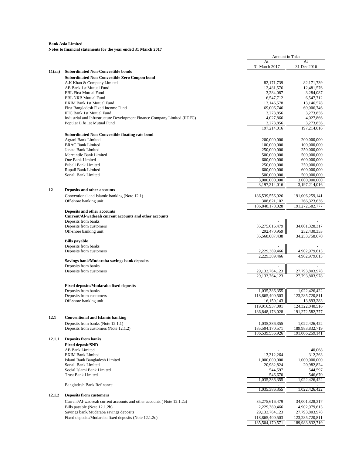|        |                                                                                                        | Amount in Taka         |                         |
|--------|--------------------------------------------------------------------------------------------------------|------------------------|-------------------------|
|        |                                                                                                        | At<br>31 March 2017    | At<br>31 Dec 2016       |
| 11(aa) | <b>Subordinated Non-Convertible bonds</b>                                                              |                        |                         |
|        | <b>Subordinated Non-Convertible Zero Coupon bond</b>                                                   |                        |                         |
|        | A.K Khan & Company Limited                                                                             | 82,171,739             | 82,171,739              |
|        | AB Bank 1st Mutual Fund                                                                                | 12,481,576             | 12,481,576              |
|        | <b>EBL First Mutual Fund</b>                                                                           | 3,284,087              | 3,284,087               |
|        | <b>EBL NRB Mutual Fund</b>                                                                             | 6,547,712              | 6,547,712               |
|        | EXIM Bank 1st Mutual Fund                                                                              | 13,146,578             | 13,146,578              |
|        | First Bangladesh Fixed Income Fund                                                                     | 69,006,746             | 69,006,746<br>3,273,856 |
|        | IFIC Bank 1st Mutual Fund<br>Industrial and Infrastructure Development Finance Company Limited (IIDFC) | 3,273,856<br>4,027,866 | 4,027,866               |
|        | Popular Life 1st Mutual Fund                                                                           | 3,273,856              | 3,273,856               |
|        |                                                                                                        | 197,214,016            | 197,214,016             |
|        | <b>Subordinated Non-Convertible floating rate bond</b>                                                 |                        |                         |
|        | Agrani Bank Limited                                                                                    | 200,000,000            | 200,000,000             |
|        | <b>BRAC Bank Limited</b>                                                                               | 100,000,000            | 100,000,000             |
|        | Janata Bank Limited                                                                                    | 250,000,000            | 250,000,000             |
|        | Mercantile Bank Limited                                                                                | 500,000,000            | 500,000,000             |
|        | One Bank Limited                                                                                       | 600,000,000            | 600,000,000             |
|        | Pubali Bank Limited                                                                                    | 250,000,000            | 250,000,000             |
|        | Rupali Bank Limited                                                                                    | 600,000,000            | 600,000,000             |
|        | Sonali Bank Limited                                                                                    | 500,000,000            | 500,000,000             |
|        |                                                                                                        | 3,000,000,000          | 3.000.000.000           |
| 12     | <b>Deposits and other accounts</b>                                                                     | 3,197,214,016          | 3,197,214,016           |
|        | Conventional and Islamic banking (Note 12.1)                                                           | 186,539,556,926        | 191,006,259,141         |
|        | Off-shore banking unit                                                                                 | 308,621,102            | 266,323,636             |
|        |                                                                                                        | 186, 848, 178, 028     | 191,272,582,777         |
|        | <b>Deposits and other accounts</b>                                                                     |                        |                         |
|        | Current/Al-wadeeah current accounts and other accounts                                                 |                        |                         |
|        | Deposits from banks                                                                                    |                        |                         |
|        | Deposits from customers                                                                                | 35,275,616,479         | 34,001,328,317          |
|        | Off-shore banking unit                                                                                 | 292,470,959            | 252,430,353             |
|        |                                                                                                        | 35,568,087,438         | 34,253,758,670          |
|        | <b>Bills</b> payable<br>Deposits from banks                                                            |                        | $\overline{a}$          |
|        | Deposits from customers                                                                                | 2,229,389,466          | 4,902,979,613           |
|        |                                                                                                        | 2,229,389,466          | 4,902,979,613           |
|        | Savings bank/Mudaraba savings bank deposits                                                            |                        |                         |
|        | Deposits from banks                                                                                    |                        |                         |
|        | Deposits from customers                                                                                | 29, 133, 764, 123      | 27,793,803,978          |
|        |                                                                                                        | 29.133.764.123         | 27,793,803,978          |
|        | <b>Fixed deposits/Mudaraba fixed deposits</b>                                                          |                        |                         |
|        | Deposits from banks                                                                                    | 1,035,386,355          | 1,022,426,422           |
|        | Deposits from customers                                                                                | 118,865,400,503        | 123,285,720,811         |
|        | Off-shore banking unit                                                                                 | 16,150,143             | 13,893,283              |
|        |                                                                                                        | 119,916,937,001        | 124,322,040,516         |
|        |                                                                                                        | 186, 848, 178, 028     | 191,272,582,777         |
| 12.1   | <b>Conventional and Islamic banking</b>                                                                |                        |                         |
|        | Deposits from banks (Note 12.1.1)                                                                      | 1,035,386,355          | 1,022,426,422           |
|        | Deposits from customers (Note 12.1.2)                                                                  | 185,504,170,571        | 189,983,832,719         |
|        |                                                                                                        | 186,539,556,926        | 191,006,259,141         |
| 12.1.1 | <b>Deposits from banks</b>                                                                             |                        |                         |
|        | <b>Fixed deposit/SND</b>                                                                               |                        |                         |
|        | <b>AB Bank Limited</b>                                                                                 |                        | 40,068                  |
|        | <b>EXIM Bank Limited</b>                                                                               | 13,312,264             | 312,263                 |
|        | Islami Bank Bangladesh Limited                                                                         | 1,000,000,000          | 1,000,000,000           |
|        | Sonali Bank Limited<br>Social Islami Bank Limited                                                      | 20,982,824             | 20,982,824              |
|        | <b>Trust Bank Limited</b>                                                                              | 544,597<br>546,670     | 544,597<br>546,670      |
|        |                                                                                                        | 1,035,386,355          | 1,022,426,422           |
|        | Bangladesh Bank Refinance                                                                              |                        |                         |
|        |                                                                                                        | 1,035,386,355          | 1,022,426,422           |
| 12.1.2 | <b>Deposits from customers</b>                                                                         |                        |                         |
|        | Current/Al-wadeeah current accounts and other accounts (Note 12.1.2a)                                  | 35,275,616,479         | 34,001,328,317          |
|        | Bills payable (Note 12.1.2b)                                                                           | 2,229,389,466          | 4,902,979,613           |
|        | Savings bank/Mudaraba savings deposits                                                                 | 29, 133, 764, 123      | 27,793,803,978          |
|        | Fixed deposits/Mudaraba fixed deposits (Note 12.1.2c)                                                  | 118,865,400,503        | 123,285,720,811         |
|        |                                                                                                        | 185,504,170,571        | 189,983,832,719         |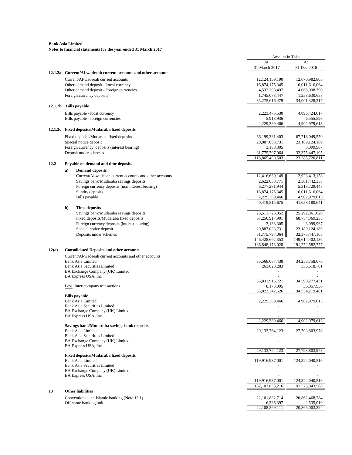|         |    |                                                                         | Amount in Taka                |                                |
|---------|----|-------------------------------------------------------------------------|-------------------------------|--------------------------------|
|         |    |                                                                         | At<br>31 March 2017           | At<br>31 Dec 2016              |
|         |    | 12.1.2a Current/Al-wadeeah current accounts and other accounts          |                               |                                |
|         |    | Current/Al-wadeeah current accounts                                     | 12, 124, 159, 190             | 12,670,982,805                 |
|         |    | Other demand deposit - Local currency                                   | 16,874,175,345                | 16,011,616,064                 |
|         |    | Other demand deposit - Foreign currencies                               | 4,532,208,497                 | 4,065,098,790                  |
|         |    | Foreign currency deposits                                               | 1,745,073,447                 | 1,253,630,658                  |
|         |    |                                                                         | 35,275,616,479                | 34,001,328,317                 |
| 12.1.2b |    | <b>Bills</b> payable                                                    |                               |                                |
|         |    | Bills payable - local currency                                          | 2,223,475,530                 | 4,896,424,017                  |
|         |    | Bills payable - foreign currencies                                      | 5,913,936                     | 6,555,596                      |
|         |    |                                                                         | 2,229,389,466                 | 4,902,979,613                  |
|         |    | 12.1.2c Fixed deposits/Mudaraba fixed deposits                          |                               |                                |
|         |    | Fixed deposits/Mudaraba fixed deposits                                  | 66,199,381,403                | 67,718,049,550                 |
|         |    | Special notice deposit<br>Foreign currency deposits (interest bearing)  | 20,887,083,731<br>3,138,305   | 23, 189, 124, 189<br>3,099,967 |
|         |    | Deposit under schemes                                                   | 31,775,797,064                | 32, 375, 447, 105              |
|         |    |                                                                         | 118,865,400,503               | 123,285,720,811                |
| 12.2    |    | Payable on demand and time deposits                                     |                               |                                |
|         | a) | <b>Demand deposits</b>                                                  |                               |                                |
|         |    | Current/Al-wadeeah current accounts and other accounts                  | 12,416,630,149                | 12,923,413,158                 |
|         |    | Savings bank/Mudaraba savings deposits                                  | 2,622,038,771                 | 2,501,442,358                  |
|         |    | Foreign currency deposits (non interest bearing)                        | 6,277,281,944                 | 5,318,729,448                  |
|         |    | Sundry deposits                                                         | 16,874,175,345                | 16,011,616,064                 |
|         |    | Bills payable                                                           | 2,229,389,466                 | 4,902,979,613                  |
|         |    |                                                                         | 40,419,515,675                | 41,658,180,641                 |
|         | b) | <b>Time deposits</b><br>Savings bank/Mudaraba savings deposits          | 26,511,725,352                | 25,292,361,620                 |
|         |    | Fixed deposits/Mudaraba fixed deposits                                  | 67,250,917,901                | 68,754,369,255                 |
|         |    | Foreign currency deposits (interest bearing)                            | 3,138,305                     | 3,099,967                      |
|         |    | Special notice deposit                                                  | 20,887,083,731                | 23,189,124,189                 |
|         |    | Deposits under schemes                                                  | 31,775,797,064                | 32, 375, 447, 105              |
|         |    |                                                                         | 146,428,662,353               | 149,614,402,136                |
|         |    |                                                                         | 186, 848, 178, 028            | 191,272,582,777                |
| 12(a)   |    | <b>Consolidated Deposits and other accounts</b>                         |                               |                                |
|         |    | Current/Al-wadeeah current accounts and other accounts                  |                               |                                |
|         |    | Bank Asia Limited<br><b>Bank Asia Securities Limited</b>                | 35,568,087,438<br>263,828,283 | 34,253,758,670<br>336,518,761  |
|         |    | BA Exchange Company (UK) Limited                                        |                               |                                |
|         |    | BA Express USA, Inc                                                     |                               |                                |
|         |    |                                                                         | 35,831,915,721                | 34,590,277,431                 |
|         |    | Less: Inter-company transactions                                        | 8,173,095                     | 36,057,950                     |
|         |    |                                                                         | 35,823,742,626                | 34,554,219,481                 |
|         |    | <b>Bills</b> payable<br><b>Bank Asia Limited</b>                        | 2,229,389,466                 | 4,902,979,613                  |
|         |    | Bank Asia Securities Limited                                            |                               |                                |
|         |    | BA Exchange Company (UK) Limited                                        |                               |                                |
|         |    | BA Express USA, Inc                                                     |                               |                                |
|         |    |                                                                         | 2.229.389.466                 | 4,902,979,613                  |
|         |    | Savings bank/Mudaraba savings bank deposits<br><b>Bank Asia Limited</b> | 29, 133, 764, 123             | 27,793,803,978                 |
|         |    | <b>Bank Asia Securities Limited</b>                                     |                               |                                |
|         |    | BA Exchange Company (UK) Limited                                        |                               |                                |
|         |    | BA Express USA, Inc                                                     |                               |                                |
|         |    | <b>Fixed deposits/Mudaraba fixed deposits</b>                           | 29,133,764,123                | 27,793,803,978                 |
|         |    | <b>Bank Asia Limited</b>                                                | 119,916,937,001               | 124,322,040,516                |
|         |    | <b>Bank Asia Securities Limited</b>                                     |                               |                                |
|         |    | BA Exchange Company (UK) Limited                                        |                               |                                |
|         |    | BA Express USA, Inc.                                                    |                               |                                |
|         |    |                                                                         | 119,916,937,001               | 124,322,040,516                |
|         |    | <b>Other liabilities</b>                                                | 187, 103, 833, 216            | 191,573,043,588                |
| 13      |    |                                                                         |                               |                                |
|         |    | Conventional and Islamic banking (Note 13.1)                            | 22,101,882,714<br>6,386,397   | 20,862,468,284<br>2,535,010    |
|         |    | Off-shore banking unit                                                  |                               |                                |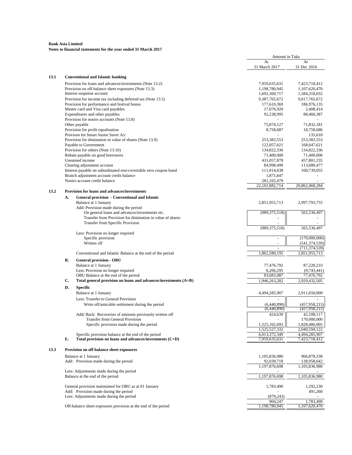|      |    |                                                                   | Amount in Taka      |                   |
|------|----|-------------------------------------------------------------------|---------------------|-------------------|
|      |    |                                                                   | At<br>31 March 2017 | At<br>31 Dec 2016 |
| 13.1 |    | <b>Conventional and Islamic banking</b>                           |                     |                   |
|      |    | Provision for loans and advances/investments (Note 13.2)          | 7,959,635,631       | 7,423,718,412     |
|      |    | Provision on off-balance sheet exposures (Note 13.3)              | 1,198,780,945       | 1,107,620,470     |
|      |    | Interest suspense account                                         | 1,692,369,717       | 1,584,318,032     |
|      |    | Provision for income tax including deferred tax (Note 13.5)       | 9,387,765,672       | 9,017,765,672     |
|      |    | Provision for performance and festival bonus                      | 177,610,369         | 186,976,135       |
|      |    | Master card and Visa card payables                                | 17,076,920          | 2,408,414         |
|      |    | Expenditures and other payables                                   |                     |                   |
|      |    |                                                                   | 92,238,995          | 88,460,387        |
|      |    | Provision for nostro accounts (Note 13.8)                         |                     |                   |
|      |    | Other payable                                                     | 75,874,127          | 71,832,181        |
|      |    | Provision for profit equalisation                                 | 8,758,687           | 18,758,686        |
|      |    | Provison for Smart Junior Saver A/c                               |                     | 135,618           |
|      |    | Provision for diminution in value of shares (Note 13.9)           | 253,383,553         | 253,383,553       |
|      |    | Payable to Government                                             | 122,057,621         | 168,647,621       |
|      |    | Provision for others (Note 13.10)                                 | 134,822,336         | 134,822,336       |
|      |    | Rebate payable on good borrowers                                  | 71,400,000          | 71,400,000        |
|      |    |                                                                   |                     |                   |
|      |    | Unearned income                                                   | 431,057,878         | 457,801,235       |
|      |    | Clearing adjustment account                                       | 84,998,499          | 113,680,477       |
|      |    | Interest payable on subordinated non-covertable zero coupon bond  | 111,014,638         | 160,739,055       |
|      |    | Branch adjustment account credit balance                          | 1,871,647           |                   |
|      |    | Nostro account credit balance                                     | 281,165,479         |                   |
|      |    |                                                                   | 22, 101, 882, 714   | 20,862,468,284    |
| 13.2 |    | <b>Provision for loans and advances/investments</b>               |                     |                   |
|      | А. | <b>General provision - Conventional and Islamic</b>               |                     |                   |
|      |    | Balance at 1 January                                              | 2,851,955,713       | 2,997,793,755     |
|      |    | Add: Provision made during the period                             |                     |                   |
|      |    | On general loans and advances/investments etc.                    | (989, 375, 518)     | 565,536,497       |
|      |    | Transfer from Provision for diminution in value of shares         |                     |                   |
|      |    |                                                                   |                     |                   |
|      |    | Transfer from Specific Provision                                  |                     |                   |
|      |    |                                                                   | (989, 375, 518)     | 565,536,497       |
|      |    | Less: Provision no longer required                                |                     |                   |
|      |    | Specific provision                                                |                     | (170,000,000)     |
|      |    | Written off                                                       | ÷.                  | (541, 374, 539)   |
|      |    |                                                                   |                     | (711, 374, 539)   |
|      |    | Conventional and Islamic Balance at the end of the period         | 1,862,580,195       | 2,851,955,713     |
|      |    |                                                                   |                     |                   |
|      | В. | <b>General provision - OBU</b>                                    |                     |                   |
|      |    | Balance at 1 January                                              | 77,476,792          | 87,220,233        |
|      |    | Less: Provision no longer required                                | 6,206,295           | (9,743,441)       |
|      |    | OBU Balance at the end of the period                              | 83,683,087          | 77,476,792        |
|      | C. | Total general provision on loans and advances/investments $(A+B)$ | 1,946,263,282       | 2,929,432,505     |
|      | D. |                                                                   |                     |                   |
|      |    | <b>Specific</b>                                                   |                     |                   |
|      |    | Balance at 1 January                                              | 4,494,285,907       | 2,911,650,000     |
|      |    | Less: Transfer to General Provision                               |                     |                   |
|      |    | Write off/amicable settlement during the period                   | (6,440,890)         | (457, 958, 215)   |
|      |    |                                                                   | (6,440,890)         | (457, 958, 215)   |
|      |    | Add/ Back: Recoveries of amounts previously written off           | 424,639             | 42,108,117        |
|      |    |                                                                   |                     |                   |
|      |    | Transfer from General Provision                                   |                     | 170,000,000       |
|      |    | Specific provision made during the period                         | 1,525,102,693       | 1,828,486,005     |
|      |    |                                                                   | 1,525,527,332       | 2,040,594,122     |
|      |    | Specific provision balance at the end of the period               | 6,013,372,349       | 4,494,285,907     |
|      | E. | Total provision on loans and advances/investments (C+D)           | 7,959,635,631       | 7,423,718,412     |
|      |    |                                                                   |                     |                   |
| 13.3 |    | Provision on off-balance sheet exposures                          |                     |                   |
|      |    | Balance at 1 January                                              | 1,105,836,980       | 966,878,338       |
|      |    |                                                                   |                     |                   |
|      |    | Add: Provision made during the period                             | 92,039,718          | 138,958,642       |
|      |    |                                                                   | 1,197,876,698       | 1,105,836,980     |
|      |    | Less: Adjustments made during the period                          |                     |                   |
|      |    | Balance at the end of the period                                  | 1,197,876,698       | 1,105,836,980     |
|      |    |                                                                   |                     |                   |
|      |    | General provision maintained for OBU as at 01 January             | 1,783,490           | 1,292,230         |
|      |    | Add: Provision made during the period                             |                     | 491,260           |
|      |    | Less: Adjustments made during the period                          | (879, 243)          |                   |
|      |    |                                                                   | 904,247             | 1,783,490         |
|      |    | Off-balance sheet exposures provision at the end of the period    | 1,198,780,945       | 1,107,620,470     |
|      |    |                                                                   |                     |                   |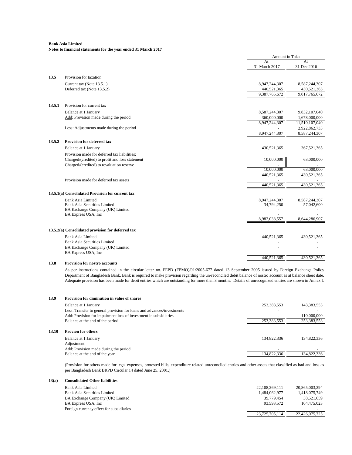## **Notes to financial statements for the year ended 31 March 2017**

|        |                                                   | Amount in Taka      |                   |
|--------|---------------------------------------------------|---------------------|-------------------|
|        |                                                   | At<br>31 March 2017 | At<br>31 Dec 2016 |
| 13.5   | Provision for taxation                            |                     |                   |
|        | Current tax (Note 13.5.1)                         | 8,947,244,307       | 8,587,244,307     |
|        | Deferred tax (Note 13.5.2)                        | 440,521,365         | 430,521,365       |
|        |                                                   | 9,387,765,672       | 9,017,765,672     |
| 13.5.1 | Provision for current tax                         |                     |                   |
|        | Balance at 1 January                              | 8,587,244,307       | 9,832,107,040     |
|        | Add: Provision made during the period             | 360,000,000         | 1,678,000,000     |
|        |                                                   | 8,947,244,307       | 11,510,107,040    |
|        | Less: Adjustments made during the period          |                     | 2,922,862,733     |
|        |                                                   | 8,947,244,307       | 8,587,244,307     |
| 13.5.2 | Provision for deferred tax                        |                     |                   |
|        | Balance at 1 January                              | 430,521,365         | 367,521,365       |
|        | Provision made for deferred tax liabilities:      |                     |                   |
|        | Charged/(credited) to profit and loss statement   | 10,000,000          | 63,000,000        |
|        | Charged/(credited) to revaluation reserve         |                     |                   |
|        |                                                   | 10,000,000          | 63,000,000        |
|        |                                                   | 440,521,365         | 430,521,365       |
|        | Provision made for deferred tax assets            | 440,521,365         | 430,521,365       |
|        | 13.5.1(a) Consolidated Provision for current tax  |                     |                   |
|        | <b>Bank Asia Limited</b>                          | 8,947,244,307       | 8,587,244,307     |
|        | <b>Bank Asia Securities Limited</b>               | 34,794,250          | 57,042,600        |
|        | BA Exchange Company (UK) Limited                  |                     |                   |
|        | BA Express USA, Inc                               | 8,982,038,557       | 8,644,286,907     |
|        | 13.5.2(a) Consolidated provision for deferred tax |                     |                   |
|        | <b>Bank Asia Limited</b>                          | 440,521,365         | 430,521,365       |
|        | <b>Bank Asia Securities Limited</b>               |                     |                   |
|        | BA Exchange Company (UK) Limited                  |                     |                   |
|        | BA Express USA, Inc                               |                     |                   |
|        |                                                   | 440,521,365         | 430,521,365       |
|        | $\cdot$ .                                         |                     |                   |

**13.8 Provision for nostro accounts**

As per instructions contained in the circular letter no. FEPD (FEMO)/01/2005-677 dated 13 September 2005 issued by Foreign Exchange Policy Department of Bangladesh Bank, Bank isrequired to make provision regarding the un-reconciled debit balance of nostro account as at balance sheet date. Adequate provision has been made for debit entries which are outstanding for more than 3 months. Details of unrecognized entries are shown in Annex I.

#### **13.9 Provision for diminution in value of shares**

| Balance at 1 January                                                   | 253,383,553 | 143,383,553              |
|------------------------------------------------------------------------|-------------|--------------------------|
| Less: Transfer to general provision for loans and advances/investments |             |                          |
| Add: Provision for impairment loss of investment in subsidiaries       |             | 110,000,000              |
| Balance at the end of the period                                       | 253.383.553 | 253,383,553              |
|                                                                        |             |                          |
| <b>Provion for others</b>                                              |             |                          |
| Balance at 1 January                                                   | 134,822,336 | 134,822,336              |
| Adjustment                                                             |             |                          |
| Add: Provision made during the period                                  |             | $\overline{\phantom{0}}$ |
| Balance at the end of the year                                         | 134,822,336 | 134,822,336              |

(Provision for others made for legal expenses, protested bills, expenditure related unreconciled entries and other assets that classified as bad and loss as per Bangladesh Bank BRPD Circular 14 dated June 25, 2001.)

#### **13(a) Consolidated Other liabilities**

**13.10** 

| Bank Asia Limited                        | 22.108.269.111           | 20.865.003.294           |
|------------------------------------------|--------------------------|--------------------------|
| Bank Asia Securities Limited             | 1.484.062.977            | 1,418,075,749            |
| BA Exchange Company (UK) Limited         | 39.779.454               | 38.521.659               |
| BA Express USA, Inc.                     | 93.593.572               | 104.475.023              |
| Foreign currency effect for subsidiaries | $\overline{\phantom{0}}$ | $\overline{\phantom{0}}$ |
|                                          | 23.725.705.114           | 22,426,075,725           |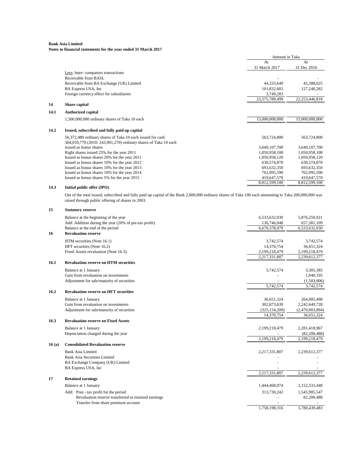# **Notes to financial statements for the year ended 31 March 2017**

|      |                                                                 | Amount in Taka |                   |
|------|-----------------------------------------------------------------|----------------|-------------------|
|      |                                                                 | At             | At                |
|      |                                                                 | 31 March 2017  | 31 Dec 2016       |
|      | Less: Inter-companies transactions                              |                |                   |
|      | Receivable from BASL                                            |                |                   |
|      | Receivable from BA Exchange (UK) Limited                        | 44,333,649     | 45,388,625        |
|      | BA Express USA, Inc.                                            | 101,832,683    | 127,240,282       |
|      | Foreign currency effect for subsidiaries                        | 3,749,283      |                   |
|      |                                                                 | 23,575,789,499 | 22, 253, 446, 818 |
| 14   | Share capital                                                   |                |                   |
| 14.1 | <b>Authorized capital</b>                                       |                |                   |
|      | 1,500,000,000 ordinary shares of Taka 10 each                   | 15,000,000,000 | 15,000,000,000    |
| 14.2 | Issued, subscribed and fully paid up capital                    |                |                   |
|      | 56,372,480 ordinary shares of Taka 10 each issued for cash      | 563,724,800    | 563,724,800       |
|      | 364,010,770 (2010: 243,901,270) ordinary shares of Taka 10 each |                |                   |
|      | issued as bonus shares                                          | 3,640,107,700  | 3,640,107,700     |
|      | Right shares issued 25% for the year 2011                       | 1.050.958.100  | 1,050,958,100     |
|      | Issued as bonus shares 20% for the year 2011                    | 1,050,958,120  | 1,050,958,120     |
|      | Issued as bonus shares 10% for the year 2012                    | 630,574,870    | 630,574,870       |
|      | Issued as bonus shares 10% for the year 2013                    | 693, 632, 350  | 693,632,350       |
|      | Issued as bonus shares 10% for the year 2014                    | 762,995,590    | 762,995,590       |
|      | Issued as bonus shares 5% for the year 2015                     | 419,647,570    | 419,647,570       |
|      |                                                                 | 8,812,599,100  | 8,812,599,100     |
| 14.3 | Initial public offer (IPO)                                      |                |                   |

Out of the total issued, subscribed and fully paid up capital of the Bank 2,000,000 ordinary shares of Taka 100 each amounting to Taka 200,000,000 was raised through public offering of shares in 2003.

| 15    | <b>Statutory reserve</b>                              |                 |                 |
|-------|-------------------------------------------------------|-----------------|-----------------|
|       | Balance at the beginning of the year                  | 6,533,632,030   | 5,876,250,921   |
|       | Add: Addition during the year (20% of pre-tax profit) | 136,746,048     | 657,381,109     |
|       | Balance at the end of the period                      | 6,670,378,079   | 6,533,632,030   |
| 16    | <b>Revaluation reserve</b>                            |                 |                 |
|       | HTM securities (Note 16.1)                            | 3,742,574       | 3,742,574       |
|       | HFT securities (Note 16.2)                            | 14,370,754      | 36,651,324      |
|       | Fixed Assets revaluation (Note 16.3)                  | 2,199,218,479   | 2,199,218,479   |
|       |                                                       | 2,217,331,807   | 2,239,612,377   |
| 16.1  | <b>Revaluation reserve on HTM securities</b>          |                 |                 |
|       | Balance at 1 January                                  | 3,742,574       | 3,305,385       |
|       | Gain from revaluation on investments                  |                 | 1,940,195       |
|       | Adjustment for sale/maturity of securities            |                 | (1,503,006)     |
|       |                                                       | 3,742,574       | 3,742,574       |
| 16.2  | <b>Revaluation reserve on HFT securities</b>          |                 |                 |
|       | Balance at 1 January                                  | 36,651,324      | 264,905,490     |
|       | Gain from revaluation on investments                  | 302,873,639     | 2,242,649,728   |
|       | Adjustment for sale/maturity of securities            | (325, 154, 209) | (2,470,903,894) |
|       |                                                       | 14,370,754      | 36,651,324      |
| 16.3  | <b>Revaluation reserve on Fixed Assets</b>            |                 |                 |
|       | Balance at 1 January                                  | 2,199,218,479   | 2,281,418,967   |
|       | Depreciation charged during the year                  |                 | (82, 200, 488)  |
|       |                                                       | 2.199.218.479   | 2,199,218,479   |
| 16(a) | <b>Consolidated Revaluation reserve</b>               |                 |                 |
|       | <b>Bank Asia Limited</b>                              | 2,217,331,807   | 2,239,612,377   |
|       | <b>Bank Asia Securities Limited</b>                   |                 |                 |
|       | BA Exchange Company (UK) Limited                      |                 |                 |
|       | BA Express USA, Inc                                   |                 |                 |
|       |                                                       | 2,217,331,807   | 2,239,612,377   |
| 17    | <b>Retained earnings</b>                              |                 |                 |
|       | Balance at 1 January                                  | 1,444,468,074   | 2,152,333,448   |
|       | Add: Post - tax profit fot the period                 | 313,730,242     | 1,545,905,547   |
|       | Revaluation reserve transferred to retained earnings  |                 | 82,200,488      |
|       | Transfer from share premium account                   |                 |                 |
|       |                                                       | 1,758,198,316   | 3,780,439,483   |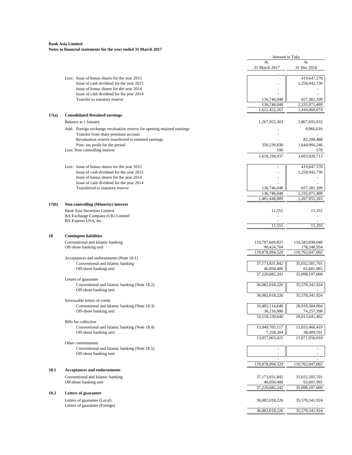|       |                                                                                                                | Amount in Taka               |                                |
|-------|----------------------------------------------------------------------------------------------------------------|------------------------------|--------------------------------|
|       |                                                                                                                | At<br>31 March 2017          | At<br>31 Dec 2016              |
|       | Less: Issue of bonus shares for the year 2015                                                                  | $\overline{\phantom{a}}$     | 419,647,570                    |
|       | Issue of cash dividend for the year 2015                                                                       |                              | 1,258,942,730                  |
|       | Issue of bonus shares for the year 2014                                                                        |                              |                                |
|       | Issue of cash dividend for the year 2014                                                                       |                              |                                |
|       | Transfer to statutory reserve                                                                                  | 136,746,048<br>136,746,048   | 657,381,109<br>2,335,971,409   |
|       |                                                                                                                | 1,621,452,267                | 1,444,468,074                  |
| 17(a) | <b>Consolidated Retained earnings</b>                                                                          |                              |                                |
|       | Balance at 1 January                                                                                           | 1,267,955,303                | 1,867,693,933                  |
|       |                                                                                                                |                              |                                |
|       | Add: Foreign exchange revaluation reserve for opening retained earnings<br>Transfer from share premium account |                              | 9,966,616                      |
|       | Revaluation reserve transferred to retained earnings                                                           |                              | 82,200,488                     |
|       | Post- tax profit for the period                                                                                | 350,239,830                  | 1,644,066,246                  |
|       | Less: Non controlling interest                                                                                 | 196                          | 570                            |
|       |                                                                                                                | 1,618,194,937                | 3,603,926,713                  |
|       | Less: Issue of bonus shares for the year 2015                                                                  |                              | 419,647,570                    |
|       | Issue of cash dividend for the year 2015                                                                       |                              | 1,258,942,730                  |
|       | Issue of bonus shares for the year 2014                                                                        | $\ddot{\phantom{1}}$         |                                |
|       | Issue of cash dividend for the year 2014                                                                       |                              |                                |
|       | Transferred to statutory reserve                                                                               | 136,746,048                  | 657,381,109                    |
|       |                                                                                                                | 136,746,048<br>1,481,448,889 | 2,335,971,409<br>1,267,955,303 |
| 17(b) | <b>Non-controlling (Minority) interest</b>                                                                     |                              |                                |
|       | <b>Bank Asia Securities Limited</b>                                                                            |                              |                                |
|       | BA Exchange Company (UK) Limited                                                                               | 11,551                       | 11,355                         |
|       | BA Express USA, Inc.                                                                                           |                              |                                |
|       |                                                                                                                | 11,551                       | 11,355                         |
|       | <b>Contingent liabilities</b>                                                                                  |                              |                                |
|       | Conventional and Islamic banking                                                                               | 119,787,669,825              | 110,583,698,048                |
|       | Off-shore banking unit                                                                                         | 90,424,704                   | 178,348,954                    |
|       |                                                                                                                | 119,878,094,529              | 110,762,047,002                |
|       | Acceptances and endorsements (Note 18.1)                                                                       |                              |                                |
|       | Conventional and Islamic banking                                                                               | 37,173,831,842               | 35,032,505,701                 |
|       | Off-shore banking unit                                                                                         | 46,850,400<br>37,220,682,242 | 65,601,965<br>35,098,107,666   |
|       | Letters of guarantee                                                                                           |                              |                                |
|       | Conventional and Islamic banking (Note 18.2)                                                                   | 36,082,018,226               | 35,578,341,924                 |
|       | Off-shore banking unit                                                                                         |                              |                                |
|       |                                                                                                                | 36,082,018,226               | 35,578,341,924                 |
|       | Irrevocable letters of credit                                                                                  |                              |                                |
|       | Conventional and Islamic banking (Note 18.3)<br>Off-shore banking unit                                         | 33,482,114,640<br>36,216,000 | 28,939,384,004                 |
|       |                                                                                                                | 33,518,330,640               | 74,257,398<br>29,013,641,402   |
|       | <b>Bills</b> for collection                                                                                    |                              |                                |
|       | Conventional and Islamic banking (Note 18.4)                                                                   | 13,049,705,117               | 11,033,466,419                 |
|       | Off-shore banking unit                                                                                         | 7,358,304                    | 38,489,591                     |
|       |                                                                                                                | 13,057,063,421               | 11,071,956,010                 |
|       | Other commitments                                                                                              |                              |                                |
|       | Conventional and Islamic banking (Note 18.5)                                                                   | $\sim$                       | $\overline{\phantom{a}}$       |
|       | Off-shore banking unit                                                                                         |                              | $\sim$                         |
|       |                                                                                                                | 119,878,094,529              | $\sim$<br>110,762,047,002      |
| 18.1  | <b>Acceptances and endorsements</b>                                                                            |                              |                                |
|       | Conventional and Islamic banking                                                                               |                              |                                |
|       | Off-shore banking unit                                                                                         | 37,173,831,842<br>46,850,400 | 35,032,505,701<br>65,601,965   |
|       |                                                                                                                | 37,220,682,242               | 35,098,107,666                 |
| 18.2  | <b>Letters of guarantee</b>                                                                                    |                              |                                |
|       |                                                                                                                |                              |                                |
|       | Letters of guarantee (Local)<br>Letters of guarantee (Foreign)                                                 | 36,082,018,226               | 35,578,341,924                 |
|       |                                                                                                                | 36,082,018,226               | 35,578,341,924                 |
|       |                                                                                                                |                              |                                |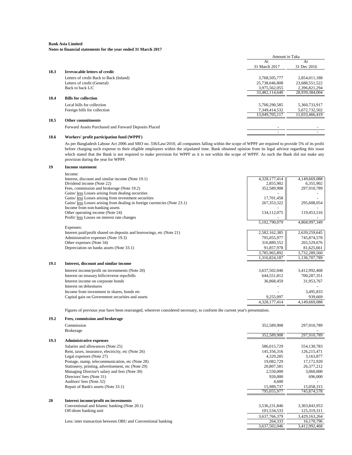|      |                                                      | Amount in Taka |                |
|------|------------------------------------------------------|----------------|----------------|
|      |                                                      | At             | At             |
|      |                                                      | 31 March 2017  | 31 Dec 2016    |
| 18.3 | <b>Irrevocable letters of credit</b>                 |                |                |
|      | Letters of credit Back to Back (Inland)              | 3,768,505,777  | 2,854,011,188  |
|      | Letters of credit (General)                          | 25,738,046,808 | 23,688,551,522 |
|      | Back to back $L/C$                                   | 3,975,562,055  | 2,396,821,294  |
|      |                                                      | 33,482,114,640 | 28,939,384,004 |
| 18.4 | <b>Bills for collection</b>                          |                |                |
|      | Local bills for collection                           | 5,700,290,585  | 5,360,733,917  |
|      | Foreign bills for collection                         | 7,349,414,532  | 5,672,732,502  |
|      |                                                      | 13,049,705,117 | 11,033,466,419 |
| 18.5 | <b>Other commitments</b>                             |                |                |
|      | Forward Assets Purchased and Forward Deposits Placed |                |                |
|      |                                                      |                |                |

#### **18.6 Workers' profit participation fund (WPPF)**

As per Bangladesh Labour Act 2006 and SRO no. 336/Law/2010, all companies falling within the scope of WPPF are required to provide 5% of its profit before charging such expense to their eligible employees within the stipulated time. Bank obtained opinion from its legal advisor regarding this issue which stated that the Bank is not required to make provision for WPPF as it is not within the scope of WPPF. As such the Bank did not make any provision during the year for WPPF.

#### **19 Income statement**

|      | Income:                                                                   |               |               |
|------|---------------------------------------------------------------------------|---------------|---------------|
|      | Interest, discount and similar income (Note 19.1)                         | 4,328,177,414 | 4,149,669,088 |
|      | Dividend income (Note 22)                                                 | 2,855,902     | 6,355,902     |
|      | Fees, commission and brokerage (Note 19.2)                                | 352,589,908   | 297,910,789   |
|      | Gains/ less Losses arising from dealing securities                        |               |               |
|      | Gains/ less Losses arising from investment securities                     | 17,701,458    |               |
|      | Gains/ less Losses arising from dealing in foreign currencies (Note 23.1) | 267, 353, 322 | 295,608,054   |
|      | Income from non-banking assets                                            |               |               |
|      | Other operating income (Note 24)                                          | 134,112,075   | 119,453,516   |
|      | Profit/less Losses on interest rate changes                               |               |               |
|      |                                                                           | 5,102,790,079 | 4,868,997,349 |
|      | Expenses:                                                                 |               |               |
|      | Interest paid/profit shared on deposits and borrowings, etc (Note 21)     | 2,582,162,385 | 2,639,259,645 |
|      | Administrative expenses (Note 19.3)                                       | 795,055,977   | 745,874,578   |
|      | Other expenses (Note 34)                                                  | 316,889,552   | 265,529,676   |
|      | Depreciation on banks assets (Note 33.1)                                  | 91,857,978    | 81,625,661    |
|      |                                                                           | 3,785,965,892 | 3,732,289,560 |
|      |                                                                           | 1,316,824,187 | 1,136,707,789 |
| 19.1 | Interest, discount and similar income                                     |               |               |
|      | Interest income/profit on investments (Note 20)                           | 3,637,502,046 | 3,412,992,468 |
|      | Interest on treasury bills/reverse repo/bills                             | 644,551,812   | 700,287,351   |
|      | Interest income on corporate bonds                                        | 36,868,459    | 31,953,767    |
|      | Interest on debentures                                                    |               |               |
|      | Income from investment in shares, bonds etc.                              |               | 3,495,833     |
|      | Capital gain on Government securities and assets                          | 9,255,097     | 939,669       |
|      |                                                                           | 4,328,177,414 | 4,149,669,088 |
|      |                                                                           |               |               |

Figures of previous year have been rearranged, wherever considered necessary, to conform the current year's presentation.

| 19.2 | <b>Fees, commission and brokerage</b>                        |               |               |
|------|--------------------------------------------------------------|---------------|---------------|
|      | Commission                                                   | 352,589,908   | 297,910,789   |
|      | <b>Brokerage</b>                                             |               |               |
|      |                                                              | 352,589,908   | 297,910,789   |
| 19.3 | <b>Administrative expenses</b>                               |               |               |
|      | Salaries and allowances (Note 25)                            | 586,015,729   | 554,130,783   |
|      | Rent, taxes, insurance, electricity, etc (Note 26)           | 145,356,316   | 126,215,471   |
|      | Legal expenses (Note 27)                                     | 4,329,285     | 3,163,877     |
|      | Postage, stamp, telecommunication, etc (Note 28)             | 19,082,729    | 17,172,920    |
|      | Stationery, printing, advertisement, etc (Note 29)           | 20,807,581    | 26,377,212    |
|      | Managing Director's salary and fees (Note 30)                | 2,550,000     | 3,060,000     |
|      | Directors' fees (Note 31)                                    | 920,000       | 696,000       |
|      | Auditors' fees (Note 32)                                     | 4,600         |               |
|      | Repair of Bank's assets (Note 33.1)                          | 15,989,737    | 15,058,315    |
|      |                                                              | 795,055,977   | 745,874,578   |
| 20   | Interest income/profit on investments                        |               |               |
|      | Conventional and Islamic banking (Note 20.1)                 | 3,536,231,846 | 3,303,843,953 |
|      | Off-shore banking unit                                       | 101,534,533   | 125,319,311   |
|      |                                                              | 3,637,766,379 | 3,429,163,264 |
|      | Less: inter transaction between OBU and Conventional banking | 264,333       | 16,170,796    |
|      |                                                              | 3,637,502,046 | 3,412,992,468 |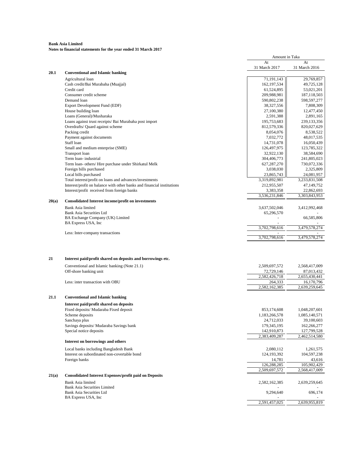|                          |                                                                                                             | Amount in Taka               |                              |
|--------------------------|-------------------------------------------------------------------------------------------------------------|------------------------------|------------------------------|
|                          |                                                                                                             | At                           | At                           |
|                          |                                                                                                             | 31 March 2017                | 31 March 2016                |
| 20.1                     | <b>Conventional and Islamic banking</b>                                                                     |                              |                              |
| Agricultural loan        | Cash credit/Bai Murabaha (Muajjal)                                                                          | 71,191,143<br>162,197,534    | 29,769,857<br>49,725,128     |
| Credit card              |                                                                                                             | 61,524,895                   | 53,021,201                   |
|                          | Consumer credit scheme                                                                                      | 209,988,981                  | 187,118,503                  |
| Demand loan              |                                                                                                             | 590,802,238                  | 598,597,277                  |
|                          | Export Development Fund (EDF)                                                                               | 38,327,556                   | 7,808,309                    |
| House building loan      |                                                                                                             | 27,100,380                   | 12,477,450                   |
|                          | Loans (General)/Musharaka                                                                                   | 2,591,388                    | 2,891,165                    |
|                          | Loans against trust receipts/ Bai Murabaha post import                                                      | 195,753,683                  | 239, 133, 356                |
|                          | Overdrafts/ Quard against scheme                                                                            | 812,579,336                  | 820,027,629                  |
| Packing credit           |                                                                                                             | 8,054,076                    | 8,538,522                    |
|                          | Payment against documents                                                                                   | 7,032,772                    | 48,017,535                   |
| Staff loan               |                                                                                                             | 14,731,078                   | 16,050,439                   |
|                          | Small and medium enterprise (SME)                                                                           | 126,497,975                  | 123,785,322                  |
| Transport loan           |                                                                                                             | 32,922,130                   | 38,584,690                   |
| Term loan-industrial     |                                                                                                             | 304,406,773                  | 241,805,023                  |
|                          | Term loan- others/ Hire purchase under Shirkatul Melk                                                       | 627,287,270                  | 730,072,336                  |
|                          | Foreign bills purchased                                                                                     | 3,038,030                    | 2,325,809                    |
| Local bills purchased    |                                                                                                             | 23,865,743                   | 24,081,957                   |
|                          | Total interest/profit on loans and advances/investments                                                     | 3,319,892,981                | 3,233,831,508                |
|                          | Interest/profit on balance with other banks and financial institutions                                      | 212,955,507                  | 47,149,752                   |
|                          | Interest/profit received from foreign banks                                                                 | 3,383,358                    | 22,862,693                   |
| 20(a)                    | <b>Consolidated Interest income/profit on investments</b>                                                   | 3,536,231,846                | 3,303,843,953                |
|                          |                                                                                                             |                              |                              |
| <b>Bank Asia limited</b> | <b>Bank Asia Securities Ltd</b>                                                                             | 3,637,502,046<br>65,296,570  | 3,412,992,468                |
|                          | BA Exchange Company (UK) Limited                                                                            |                              | 66,585,806                   |
| BA Express USA, Inc.     |                                                                                                             |                              |                              |
|                          |                                                                                                             | 3,702,798,616                | 3,479,578,274                |
|                          | Less: Inter-company transactions                                                                            | 3,702,798,616                | 3,479,578,274                |
| 21                       | Interest paid/profit shared on deposits and borrowings etc.<br>Conventional and Islamic banking (Note 21.1) | 2,509,697,572                | 2,568,417,009                |
|                          | Off-shore banking unit                                                                                      | 72,729,146                   | 87,013,432                   |
|                          |                                                                                                             | 2,582,426,718                | 2,655,430,441                |
|                          | Less: inter transaction with OBU                                                                            | 264,333                      | 16,170,796                   |
|                          |                                                                                                             | 2,582,162,385                | 2,639,259,645                |
| 21.1                     | <b>Conventional and Islamic banking</b>                                                                     |                              |                              |
|                          | Interest paid/profit shared on deposits                                                                     |                              |                              |
|                          | Fixed deposits/ Mudaraba Fixed deposit                                                                      | 853,174,608                  | 1,048,207,601                |
| Scheme deposits          |                                                                                                             | 1,183,266,578                | 1,085,140,571                |
| Sanchaya plus            |                                                                                                             | 24,712,033                   | 39,100,603                   |
|                          | Savings deposits/ Mudaraba Savings bank                                                                     | 179,345,195                  | 162,266,277                  |
|                          | Special notice deposits                                                                                     | 142,910,873                  | 127,799,528                  |
|                          | Interest on borrowings and others                                                                           | 2,383,409,287                | 2,462,514,580                |
|                          |                                                                                                             |                              |                              |
|                          | Local banks including Bangladesh Bank                                                                       | 2,080,112                    | 1,261,575                    |
|                          | Interest on subordinated non-covertable bond                                                                | 124,193,392                  | 104,597,238                  |
| Foreign banks            |                                                                                                             | 14,781                       | 43,616                       |
|                          |                                                                                                             | 126,288,285<br>2,509,697,572 | 105,902,429<br>2,568,417,009 |
| 21(a)                    | <b>Consolidated Interest Expenses/profit paid on Deposits</b>                                               |                              |                              |
|                          |                                                                                                             |                              |                              |
| <b>Bank Asia limited</b> |                                                                                                             | 2,582,162,385                | 2,639,259,645                |
|                          | <b>Bank Asia Securities Limited</b><br><b>Bank Asia Securities Ltd</b>                                      | 9,294,640                    | 696,174                      |
| BA Express USA, Inc.     |                                                                                                             |                              |                              |
|                          |                                                                                                             | 2,591,457,025                | 2,639,955,819                |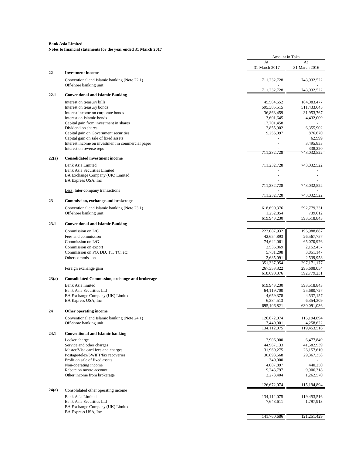|       |                                                              | Amount in Taka          |               |
|-------|--------------------------------------------------------------|-------------------------|---------------|
|       |                                                              | At                      | At            |
|       |                                                              | 31 March 2017           | 31 March 2016 |
| 22    | <b>Investment income</b>                                     |                         |               |
|       | Conventional and Islamic banking (Note 22.1)                 | 711,232,728             | 743,032,522   |
|       | Off-shore banking unit                                       |                         |               |
| 22.1  | <b>Conventional and Islamic Banking</b>                      | 711,232,728             | 743,032,522   |
|       |                                                              |                         |               |
|       | Interest on treasury bills                                   | 45,564,652              | 184,083,477   |
|       | Interest on treasury bonds                                   | 595,385,515             | 511,433,645   |
|       | Interest income on corporate bonds                           | 36,868,459              | 31,953,767    |
|       | Interest on Islamic bonds                                    | 3,601,645               | 4,432,009     |
|       | Capital gain from investment in shares<br>Dividend on shares | 17,701,458<br>2,855,902 | 6,355,902     |
|       | Capital gain on Government securities                        | 9,255,097               | 876,670       |
|       | Capital gain on sale of fixed assets                         |                         | 62,999        |
|       | Interest income on investment in commercial paper            |                         | 3,495,833     |
|       | Interest on reverse repo                                     |                         | 338,220       |
|       |                                                              | 711,232,728             | 743,032,522   |
| 22(a) | <b>Consolidated investment income</b>                        |                         |               |
|       | <b>Bank Asia Limited</b>                                     | 711,232,728             | 743,032,522   |
|       | <b>Bank Asia Securities Limited</b>                          |                         |               |
|       | BA Exchange Company (UK) Limited                             |                         |               |
|       | BA Express USA, Inc                                          |                         |               |
|       |                                                              | 711,232,728             | 743,032,522   |
|       | Less: Inter-company transactions                             |                         |               |
|       |                                                              | 711,232,728             | 743,032,522   |
| 23    | Commission, exchange and brokerage                           |                         |               |
|       | Conventional and Islamic banking (Note 23.1)                 | 618,690,376             | 592,779,231   |
|       | Off-shore banking unit                                       | 1,252,854               | 739,612       |
|       |                                                              | 619,943,230             | 593,518,843   |
| 23.1  | <b>Conventional and Islamic Banking</b>                      |                         |               |
|       | Commission on L/C                                            | 223,087,932             | 196,988,887   |
|       | Fees and commission                                          | 42,654,893              | 26,567,757    |
|       | Commission on L/G                                            | 74,642,061              | 65,070,976    |
|       | Commission on export                                         | 2,535,869               | 2,152,457     |
|       | Commission on PO, DD, TT, TC, etc                            | 5,731,208               | 3,851,147     |
|       | Other commission                                             | 2,685,091               | 2,539,953     |
|       |                                                              | 351,337,054             | 297, 171, 177 |
|       | Foreign exchange gain                                        | 267, 353, 322           | 295,608,054   |
|       |                                                              | 618,690,376             | 592,779,231   |
| 23(a) | <b>Consolidated Commission, exchange and brokerage</b>       |                         |               |
|       | Bank Asia limited                                            | 619,943,230             | 593,518,843   |
|       | Bank Asia Securities Ltd                                     | 64,119,700              | 25,680,727    |
|       | BA Exchange Company (UK) Limited                             | 4,659,378               | 4,537,157     |
|       | BA Express USA, Inc.                                         | 6,384,513               | 6,354,309     |
|       |                                                              | 695,106,821             | 630,091,036   |
| 24    | Other operating income                                       |                         |               |
|       | Conventional and Islamic banking (Note 24.1)                 | 126,672,074             | 115,194,894   |
|       | Off-shore banking unit                                       | 7,440,001               | 4,258,622     |
|       |                                                              | 134,112,075             | 119,453,516   |
| 24.1  | <b>Conventional and Islamic banking</b>                      |                         |               |
|       | Locker charge                                                | 2,906,000               | 6,477,849     |
|       | Service and other charges                                    | 44,967,133              | 41,582,939    |
|       | Master/Visa card fees and charges                            | 31,960,275              | 26,157,610    |
|       | Postage/telex/SWIFT/fax recoveries                           | 30,893,568              | 29,367,358    |
|       | Profit on sale of fixed assets                               | 340,000                 |               |
|       | Non-operating income                                         | 4,087,897               | 440,250       |
|       | Rebate on nostro account                                     | 9,243,797               | 9,906,318     |
|       | Other income from brokerage                                  | 2,273,404               | 1,262,570     |
|       |                                                              | 126,672,074             | 115,194,894   |
|       |                                                              |                         |               |
|       |                                                              |                         |               |
|       | Consolidated other operating income                          |                         |               |
|       | <b>Bank Asia Limited</b>                                     | 134,112,075             | 119,453,516   |
|       | Bank Asia Securities Ltd                                     | 7,648,611               | 1,797,913     |
| 24(a) | BA Exchange Company (UK) Limited<br>BA Express USA, Inc.     |                         |               |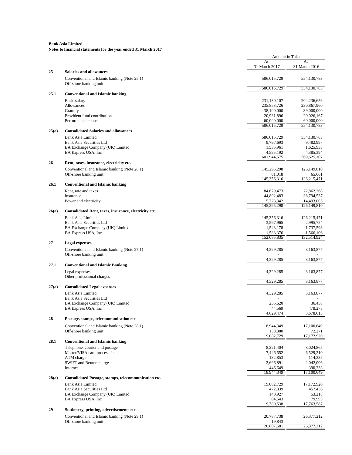| At<br>31 March 2017<br>25<br><b>Salaries and allowances</b><br>Conventional and Islamic banking (Note 25.1)<br>586,015,729<br>Off-shore banking unit<br>586,015,729<br>25.1<br><b>Conventional and Islamic banking</b><br>Basic salary<br>231,130,107<br>Allowances<br>235,853,726<br>Gratuity<br>38,100,000<br>Provident fund contribution<br>20,931,896<br>Performance bonus<br>60,000,000<br>586,015,729<br>25(a) | At<br>31 March 2016<br>554,130,783 |
|----------------------------------------------------------------------------------------------------------------------------------------------------------------------------------------------------------------------------------------------------------------------------------------------------------------------------------------------------------------------------------------------------------------------|------------------------------------|
|                                                                                                                                                                                                                                                                                                                                                                                                                      |                                    |
|                                                                                                                                                                                                                                                                                                                                                                                                                      |                                    |
|                                                                                                                                                                                                                                                                                                                                                                                                                      |                                    |
|                                                                                                                                                                                                                                                                                                                                                                                                                      | 554,130,783                        |
|                                                                                                                                                                                                                                                                                                                                                                                                                      |                                    |
|                                                                                                                                                                                                                                                                                                                                                                                                                      | 204,236,656                        |
|                                                                                                                                                                                                                                                                                                                                                                                                                      | 230,867,960                        |
|                                                                                                                                                                                                                                                                                                                                                                                                                      | 39,000,000                         |
|                                                                                                                                                                                                                                                                                                                                                                                                                      | 20,026,167                         |
|                                                                                                                                                                                                                                                                                                                                                                                                                      | 60,000,000<br>554,130,783          |
| <b>Consolidated Salaries and allowances</b>                                                                                                                                                                                                                                                                                                                                                                          |                                    |
| <b>Bank Asia Limited</b>                                                                                                                                                                                                                                                                                                                                                                                             |                                    |
| 586,015,729<br>9,797,693                                                                                                                                                                                                                                                                                                                                                                                             | 554,130,783                        |
| <b>Bank Asia Securities Ltd</b><br>1,535,961                                                                                                                                                                                                                                                                                                                                                                         | 9,482,997<br>1,625,933             |
| BA Exchange Company (UK) Limited<br>4,595,192                                                                                                                                                                                                                                                                                                                                                                        | 4,385,394                          |
| BA Express USA, Inc.<br>601,944,575                                                                                                                                                                                                                                                                                                                                                                                  | 569,625,107                        |
| Rent, taxes, insurance, electricity etc.                                                                                                                                                                                                                                                                                                                                                                             |                                    |
|                                                                                                                                                                                                                                                                                                                                                                                                                      |                                    |
| Conventional and Islamic banking (Note 26.1)<br>145,295,298<br>Off-shore banking unit<br>61,018                                                                                                                                                                                                                                                                                                                      | 126,149,810<br>65,661              |
| 145,356,316                                                                                                                                                                                                                                                                                                                                                                                                          | 126,215,471                        |
| 26.1<br><b>Conventional and Islamic banking</b>                                                                                                                                                                                                                                                                                                                                                                      |                                    |
| 84,679,473<br>Rent, rate and taxes                                                                                                                                                                                                                                                                                                                                                                                   | 72,862,268                         |
| 44,892,483<br>Insurance                                                                                                                                                                                                                                                                                                                                                                                              | 38,794,537                         |
| 15,723,342<br>Power and electricity                                                                                                                                                                                                                                                                                                                                                                                  | 14,493,005                         |
| 145,295,298                                                                                                                                                                                                                                                                                                                                                                                                          | 126,149,810                        |
| Consolidated Rent, taxes, insurance, electricity etc.<br>26(a)                                                                                                                                                                                                                                                                                                                                                       |                                    |
| <b>Bank Asia Limited</b><br>145,356,316                                                                                                                                                                                                                                                                                                                                                                              | 126,215,471                        |
| <b>Bank Asia Securities Ltd</b><br>3,597,965                                                                                                                                                                                                                                                                                                                                                                         | 2,995,754                          |
| BA Exchange Company (UK) Limited<br>1,543,178                                                                                                                                                                                                                                                                                                                                                                        | 1,737,593                          |
| BA Express USA, Inc.<br>1,588,376                                                                                                                                                                                                                                                                                                                                                                                    | 1,566,106                          |
| 152,085,835                                                                                                                                                                                                                                                                                                                                                                                                          | 132,514,924                        |
| <b>Legal expenses</b>                                                                                                                                                                                                                                                                                                                                                                                                |                                    |
| Conventional and Islamic banking (Note 27.1)<br>4,329,285<br>Off-shore banking unit                                                                                                                                                                                                                                                                                                                                  | 3,163,877                          |
| 4,329,285                                                                                                                                                                                                                                                                                                                                                                                                            | 3,163,877                          |
| 27.1<br><b>Conventional and Islamic Banking</b>                                                                                                                                                                                                                                                                                                                                                                      |                                    |
| Legal expenses<br>4,329,285                                                                                                                                                                                                                                                                                                                                                                                          | 3,163,877                          |
| Other professional charges                                                                                                                                                                                                                                                                                                                                                                                           |                                    |
| 4,329,285                                                                                                                                                                                                                                                                                                                                                                                                            | 3,163,877                          |
| <b>Consolidated Legal expenses</b><br>27(a)                                                                                                                                                                                                                                                                                                                                                                          |                                    |
| <b>Bank Asia Limited</b><br>4,329,285                                                                                                                                                                                                                                                                                                                                                                                | 3,163,877                          |
| <b>Bank Asia Securities Ltd</b>                                                                                                                                                                                                                                                                                                                                                                                      |                                    |
| BA Exchange Company (UK) Limited<br>255,620                                                                                                                                                                                                                                                                                                                                                                          | 36,458                             |
| BA Express USA, Inc<br>44,569                                                                                                                                                                                                                                                                                                                                                                                        | 478,278                            |
| 4,629,474                                                                                                                                                                                                                                                                                                                                                                                                            | 3,678,613                          |
| Postage, stamps, telecommunication etc.                                                                                                                                                                                                                                                                                                                                                                              |                                    |
| Conventional and Islamic banking (Note 28.1)<br>18,944,349                                                                                                                                                                                                                                                                                                                                                           | 17,100,649                         |
| Off-shore banking unit<br>138,380                                                                                                                                                                                                                                                                                                                                                                                    | 72,271                             |
| 19,082,729                                                                                                                                                                                                                                                                                                                                                                                                           | 17,172,920                         |
| 28.1<br><b>Conventional and Islamic banking</b>                                                                                                                                                                                                                                                                                                                                                                      |                                    |
| Telephone, courier and postage<br>8,221,404                                                                                                                                                                                                                                                                                                                                                                          | 8,024,865                          |
| Master/VISA card process fee<br>7,446,552                                                                                                                                                                                                                                                                                                                                                                            | 6,529,210                          |
| ATM charge<br>132,853                                                                                                                                                                                                                                                                                                                                                                                                | 114,335                            |
| SWIFT and Reuter charge<br>2,696,891                                                                                                                                                                                                                                                                                                                                                                                 | 2,042,006                          |
| 446,649<br>Internet                                                                                                                                                                                                                                                                                                                                                                                                  | 390,233                            |
| 18,944,349                                                                                                                                                                                                                                                                                                                                                                                                           | 17,100,649                         |
| Consolidated Postage, stamps, telecommunication etc.<br>28(a)                                                                                                                                                                                                                                                                                                                                                        |                                    |
| <b>Bank Asia Limited</b><br>19,082,729                                                                                                                                                                                                                                                                                                                                                                               | 17,172,920                         |
| Bank Asia Securities Ltd<br>472,339                                                                                                                                                                                                                                                                                                                                                                                  | 457,456                            |
| BA Exchange Company (UK) Limited<br>140,927                                                                                                                                                                                                                                                                                                                                                                          | 53,218                             |
| BA Express USA, Inc.<br>84,543                                                                                                                                                                                                                                                                                                                                                                                       | 79,993                             |
| 19,780,538                                                                                                                                                                                                                                                                                                                                                                                                           | 17,763,587                         |
| Stationery, printing, advertisements etc.                                                                                                                                                                                                                                                                                                                                                                            |                                    |
| Conventional and Islamic banking (Note 29.1)<br>20,787,738                                                                                                                                                                                                                                                                                                                                                           | 26,377,212                         |
| Off-shore banking unit<br>19,843                                                                                                                                                                                                                                                                                                                                                                                     |                                    |
| 20,807,581                                                                                                                                                                                                                                                                                                                                                                                                           | 26,377,212                         |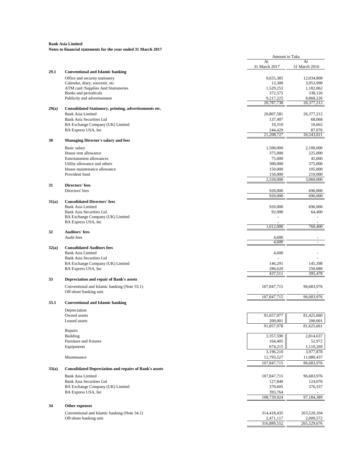|       |                                                               | Amount in Taka      |               |
|-------|---------------------------------------------------------------|---------------------|---------------|
|       |                                                               | At<br>31 March 2017 | At            |
| 29.1  | <b>Conventional and Islamic banking</b>                       |                     | 31 March 2016 |
|       | Office and security stationery                                | 9,655,385           | 12,034,808    |
|       | Calendar, diary, souvenir, etc                                | 13,300              | 3,953,990     |
|       | ATM card /Supplies And Stationeries                           | 1,529,253           | 1,182,062     |
|       | Books and periodicals                                         | 372,575             | 338,126       |
|       | Publicity and advertisement                                   | 9,217,225           | 8,868,226     |
|       |                                                               | 20,787,738          | 26,377,212    |
| 29(a) | Consolidated Stationery, printing, advertisements etc.        |                     |               |
|       | <b>Bank Asia Limited</b>                                      | 20,807,581          | 26,377,212    |
|       | <b>Bank Asia Securities Ltd</b>                               | 137,407             | 68,068        |
|       | BA Exchange Company (UK) Limited                              | 19,310              | 10,665        |
|       | BA Express USA, Inc.                                          | 244,429             | 87,076        |
|       |                                                               | 21,208,727          | 26,543,021    |
|       | <b>Managing Director's salary and fees</b>                    |                     |               |
|       | Basic salary                                                  | 1,500,000           | 2,100,000     |
|       | House rent allowance                                          | 375,000             | 225,000       |
|       | Entertainment allowances                                      | 75,000              | 45,000        |
|       | Utility allowance and others                                  | 300,000             | 375,000       |
|       | House maintenance allowance                                   | 150,000             | 105,000       |
|       | Provident fund                                                | 150,000             | 210,000       |
|       |                                                               | 2,550,000           | 3,060,000     |
|       | <b>Directors' fees</b>                                        |                     |               |
|       | Directors' fees                                               | 920,000             | 696,000       |
|       |                                                               | 920,000             | 696,000       |
| 31(a) | <b>Consolidated Directors' fees</b>                           |                     |               |
|       | <b>Bank Asia Limited</b>                                      | 920,000             | 696,000       |
|       | Bank Asia Securities Ltd.                                     | 92,000              | 64,400        |
|       | BA Exchange Company (UK) Limited                              |                     |               |
|       | BA Express USA, Inc                                           | 1,012,000           | 760,400       |
|       | <b>Auditors' fees</b>                                         |                     |               |
|       | Audit fees                                                    | 4,600               |               |
|       |                                                               | 4,600               |               |
| 32(a) | <b>Consolidated Auditors fees</b>                             |                     |               |
|       | <b>Bank Asia Limited</b>                                      | 4,600               |               |
|       | <b>Bank Asia Securities Ltd</b>                               |                     |               |
|       | BA Exchange Company (UK) Limited                              | 146,291             | 145,398       |
|       | BA Express USA, Inc.                                          | 286,620             | 250,080       |
|       |                                                               | 437,511             | 395,478       |
|       | Depreciation and repair of Bank's assets                      |                     |               |
|       | Conventional and Islamic banking (Note 33.1)                  | 107,847,715         | 96,683,976    |
|       | Off-shore banking unit                                        |                     |               |
|       |                                                               | 107,847,715         | 96,683,976    |
| 33.1  | <b>Conventional and Islamic banking</b>                       |                     |               |
|       |                                                               |                     |               |
|       | Depreciation<br>Owned assets                                  | 91,657,977          | 81,425,660    |
|       | Leased assets                                                 | 200,001             | 200.001       |
|       |                                                               | 91,857,978          | 81,625,661    |
|       | Repairs                                                       |                     |               |
|       | Building                                                      | 2,357,590           | 2,814,637     |
|       | Furniture and fixtures                                        | 164,405             | 52,972        |
|       | Equipments                                                    | 674,215             | 1,110,269     |
|       |                                                               | 3,196,210           | 3,977,878     |
|       | Maintenance                                                   | 12,793,527          | 11,080,437    |
|       |                                                               | 107,847,715         | 96,683,976    |
| 33(a) | <b>Consolidated Depreciation and repairs of Bank's assets</b> |                     |               |
|       | <b>Bank Asia Limited</b>                                      | 107,847,715         | 96,683,976    |
|       | Bank Asia Securities Ltd                                      | 127,840             | 124,076       |
|       | BA Exchange Company (UK) Limited                              | 370,605             | 376,337       |
|       |                                                               | 393,764             |               |
|       |                                                               |                     |               |
|       | BA Express USA, Inc.                                          |                     |               |
|       |                                                               | 108,739,924         | 97,184,389    |
|       | Other expenses                                                |                     |               |
|       | Conventional and Islamic banking (Note 34.1)                  | 314,418,435         | 263,520,104   |
|       | Off-shore banking unit                                        | 2,471,117           | 2,009,572     |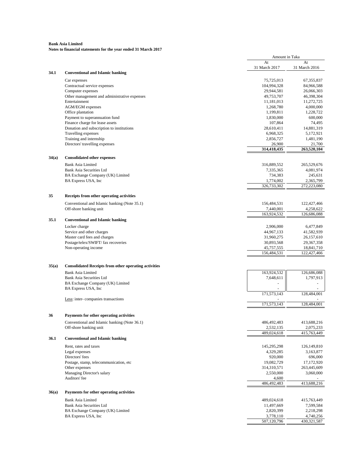|       |                                                               | Amount in Taka           |                          |
|-------|---------------------------------------------------------------|--------------------------|--------------------------|
|       |                                                               | At                       | At                       |
|       |                                                               | 31 March 2017            | 31 March 2016            |
| 34.1  | <b>Conventional and Islamic banking</b>                       |                          |                          |
|       | Car expenses                                                  | 75,725,013               | 67,355,837               |
|       | Contractual service expenses                                  | 104,994,328              | 84,966,588               |
|       | Computer expenses                                             | 29,944,581               | 26,066,303               |
|       | Other management and administrative expenses<br>Entertainment | 49,753,707<br>11,181,013 | 46,398,304<br>11,272,725 |
|       | AGM/EGM expenses                                              | 1,268,780                | 4,000,000                |
|       | Office plantation                                             | 1,199,811                | 1,228,722                |
|       | Payment to superannuation fund                                | 1,830,000                | 600,000                  |
|       | Finance charge for lease assets                               | 107,864                  | 74,495                   |
|       | Donation and subscription to institutions                     | 28,610,411               | 14,881,319               |
|       | Travelling expenses                                           | 6,968,325                | 5,172,921                |
|       | Training and internship                                       | 2,856,727                | 1,481,190                |
|       | Directors' travelling expenses                                | 26,900                   | 21,700                   |
|       |                                                               | 314,418,435              | 263,520,104              |
| 34(a) | <b>Consolidated other expenses</b>                            |                          |                          |
|       |                                                               |                          |                          |
|       | <b>Bank Asia Limited</b>                                      | 316,889,552              | 265,529,676              |
|       | <b>Bank Asia Securities Ltd</b>                               | 7,335,365                | 4,081,974                |
|       | BA Exchange Company (UK) Limited                              | 734,383                  | 245,631                  |
|       | BA Express USA, Inc.                                          | 1,774,002<br>326,733,302 | 2,365,799<br>272,223,080 |
|       |                                                               |                          |                          |
|       | Receipts from other operating activities                      |                          |                          |
|       | Conventional and Islamic banking (Note 35.1)                  | 156,484,531              | 122,427,466              |
|       | Off-shore banking unit                                        | 7,440,001                | 4,258,622                |
|       |                                                               | 163,924,532              | 126,686,088              |
| 35.1  | <b>Conventional and Islamic banking</b>                       |                          |                          |
|       | Locker charge                                                 | 2,906,000                | 6,477,849                |
|       | Service and other charges                                     | 44,967,133               | 41,582,939               |
|       | Master card fees and charges                                  | 31,960,275               | 26,157,610               |
|       | Postage/telex/SWIFT/ fax recoveries                           | 30,893,568               | 29,367,358               |
|       | Non-operating income                                          | 45,757,555               | 18,841,710               |
|       |                                                               | 156,484,531              | 122,427,466              |
|       |                                                               |                          |                          |
| 35(a) | <b>Consolidated Receipts from other operating activities</b>  |                          |                          |
|       | <b>Bank Asia Limited</b>                                      | 163,924,532              | 126,686,088              |
|       | <b>Bank Asia Securities Ltd</b>                               | 7,648,611                | 1,797,913                |
|       | BA Exchange Company (UK) Limited                              |                          |                          |
|       | BA Express USA, Inc.                                          |                          |                          |
|       |                                                               | 171.573.143              | 128,484,001              |
|       | Less: inter-companies transactions                            |                          |                          |
|       |                                                               | 171,573,143              | 128,484,001              |
|       | Payments for other operating activities                       |                          |                          |
| 36    |                                                               |                          |                          |
|       | Conventional and Islamic banking (Note 36.1)                  | 486,492,483              | 413,688,216              |
|       | Off-shore banking unit                                        | 2,532,135<br>489,024,618 | 2,075,233<br>415,763,449 |
| 36.1  | <b>Conventional and Islamic banking</b>                       |                          |                          |
|       |                                                               |                          |                          |
|       | Rent, rates and taxes                                         | 145,295,298              | 126,149,810              |
|       | Legal expenses                                                | 4,329,285                | 3,163,877                |
|       | Directors' fees                                               | 920,000                  | 696,000                  |
|       | Postage, stamp, telecommunication, etc                        | 19,082,729               | 17,172,920               |
|       | Other expenses                                                | 314,310,571              | 263,445,609              |
|       | Managing Director's salary<br>Auditors' fee                   | 2,550,000                | 3,060,000                |
|       |                                                               | 4,600<br>486,492,483     | 413,688,216              |
|       |                                                               |                          |                          |
| 36(a) | Payments for other operating activities                       |                          |                          |
|       | <b>Bank Asia Limited</b>                                      | 489,024,618              | 415,763,449              |
|       | <b>Bank Asia Securities Ltd</b>                               | 11,497,669               | 7,599,584                |
|       | BA Exchange Company (UK) Limited                              | 2,820,399                | 2,218,298                |
|       | BA Express USA, Inc                                           | 3,778,110                | 4,740,256                |
|       |                                                               | 507,120,796              | 430, 321, 587            |